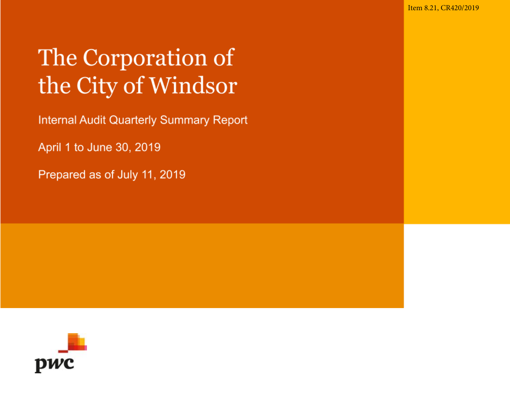Item 8.21, CR420/2019

# The Corporation of the City of Windsor

**Internal Audit Quarterly Summary Report** 

April 1 to June 30, 2019

Prepared as of July 11, 2019

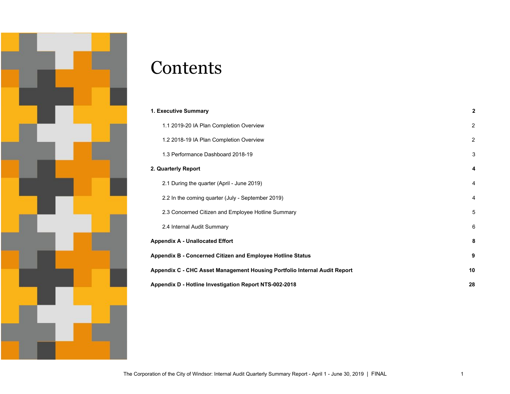

## **Contents**

| 1. Executive Summary                                                      | $\mathbf{2}$            |
|---------------------------------------------------------------------------|-------------------------|
| 1.1 2019-20 IA Plan Completion Overview                                   | 2                       |
| 1.2 2018-19 IA Plan Completion Overview                                   | 2                       |
| 1.3 Performance Dashboard 2018-19                                         | 3                       |
| 2. Quarterly Report                                                       | $\overline{\mathbf{4}}$ |
| 2.1 During the quarter (April - June 2019)                                | $\overline{4}$          |
| 2.2 In the coming quarter (July - September 2019)                         | 4                       |
| 2.3 Concerned Citizen and Employee Hotline Summary                        | 5                       |
| 2.4 Internal Audit Summary                                                | 6                       |
| <b>Appendix A - Unallocated Effort</b>                                    | 8                       |
| Appendix B - Concerned Citizen and Employee Hotline Status                | 9                       |
| Appendix C - CHC Asset Management Housing Portfolio Internal Audit Report | 10                      |
| Appendix D - Hotline Investigation Report NTS-002-2018                    | 28                      |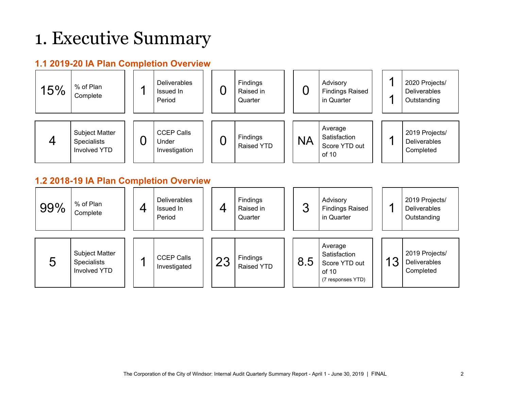## <span id="page-2-0"></span>1. Executive Summary

### <span id="page-2-1"></span>**1.1 2019-20 IA Plan Completion Overview**



### <span id="page-2-2"></span>**1.2 2018-19 IA Plan Completion Overview**

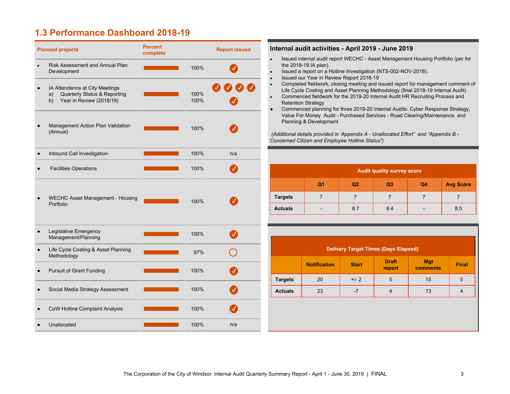### <span id="page-3-0"></span>**1.3 Performance Dashboard 2018-19**

| <b>Planned projects</b>                                                                                | <b>Percent</b><br>complete |              | <b>Report issued</b> |
|--------------------------------------------------------------------------------------------------------|----------------------------|--------------|----------------------|
| Risk Assessment and Annual Plan<br>$\bullet$<br>Development                                            |                            | 100%         |                      |
| IA Attendance at City Meetings<br>Quarterly Status & Reporting<br>a)<br>Year in Review (2018/19)<br>b) |                            | 100%<br>100% |                      |
| Management Action Plan Validation<br>(Annual)                                                          |                            | 100%         |                      |
| Inbound Call Investigation                                                                             |                            | 100%         | n/a                  |
| <b>Facilities Operations</b>                                                                           |                            | 100%         |                      |
| <b>WECHC Asset Management - Housing</b><br>Portfolio                                                   |                            | 100%         |                      |
| Legislative Emergency<br>$\bullet$<br>Management/Planning                                              |                            | 100%         |                      |
| Life Cycle Costing & Asset Planning<br>Methodology                                                     |                            | 97%          |                      |
| <b>Pursuit of Grant Funding</b>                                                                        |                            | 100%         |                      |
| Social Media Strategy Assessment                                                                       |                            | 100%         |                      |
| <b>CoW Hotline Complaint Analysis</b>                                                                  |                            | 100%         |                      |
| Unallocated                                                                                            |                            | 100%         | n/a                  |

#### **complete Report issued Internal audit activities - April 2019 - June 2019**

- Issued internal audit report WECHC Asset Management Housing Portfolio (per for the 2018-19 IA plan).
- Issued a report on a Hotline Investigation (NTS-002-NOV-2018).
- Issued our Year in Review Report 2018-19
- Completed fieldwork, closing meeting and issued report for management comment of Life Cycle Costing and Asset Planning Methodology (final 2018-19 Internal Audit)
- Commenced fieldwork for the 2019-20 Internal Audit HR Recruiting Process and Retention Strategy
- Commenced planning for three 2019-20 Internal Audits: Cyber Response Strategy, Value For Money Audit - Purchased Services - Road Clearing/Maintenance, and Planning & Development

 *(Additional details provided in 'Appendix A - Unallocated Effort" and "Appendix B - Concerned Citizen and Employee Hotline Status")*

| <b>Audit quality survey score</b> |                          |     |                |                |                  |  |  |
|-----------------------------------|--------------------------|-----|----------------|----------------|------------------|--|--|
|                                   | Q <sub>1</sub>           | Q2  | Q <sub>3</sub> | Q <sub>4</sub> | <b>Avg Score</b> |  |  |
| <b>Targets</b>                    |                          |     |                |                |                  |  |  |
| <b>Actuals</b>                    | $\overline{\phantom{0}}$ | 8.7 | 8.4            |                | 8.5              |  |  |

| <b>Delivery Target Times (Days Elapsed)</b> |                     |              |                        |                        |              |  |  |
|---------------------------------------------|---------------------|--------------|------------------------|------------------------|--------------|--|--|
|                                             | <b>Notification</b> | <b>Start</b> | <b>Draft</b><br>report | <b>Mgt</b><br>comments | <b>Final</b> |  |  |
| <b>Targets</b>                              | 20                  | $+/- 2$      | 5                      | 15                     | 5            |  |  |
| <b>Actuals</b>                              | 23                  | $-7$         |                        | 13                     |              |  |  |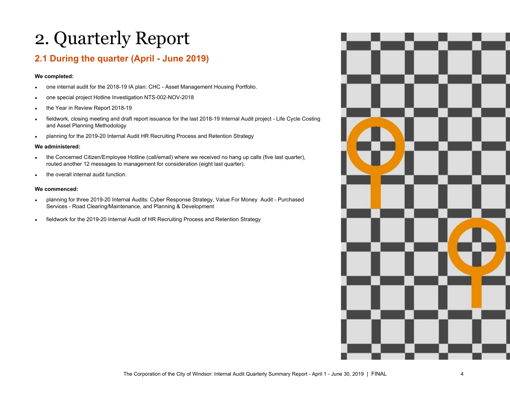## <span id="page-4-0"></span>2. Quarterly Report

### <span id="page-4-1"></span>**2.1 During the quarter (April - June 2019)**

#### **We completed:**

- one internal audit for the 2018-19 IA plan: CHC Asset Management Housing Portfolio.
- one special project Hotline Investigation NTS-002-NOV-2018
- the Year in Review Report 2018-19
- fieldwork, closing meeting and draft report issuance for the last 2018-19 Internal Audit project Life Cycle Costing and Asset Planning Methodology
- planning for the 2019-20 Internal Audit HR Recruiting Process and Retention Strategy

#### **We administered:**

- the Concerned Citizen/Employee Hotline (call/email) where we received no hang up calls (five last quarter), routed another 12 messages to management for consideration (eight last quarter).
- the overall internal audit function.

#### **We commenced:**

- planning for three 2019-20 Internal Audits: Cyber Response Strategy, Value For Money Audit Purchased Services - Road Clearing/Maintenance, and Planning & Development
- <span id="page-4-2"></span>• fieldwork for the 2019-20 Internal Audit of HR Recruiting Process and Retention Strategy

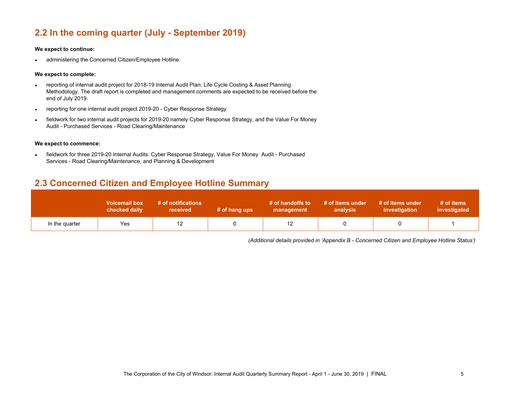### **2.2 In the coming quarter (July - September 2019)**

#### **We expect to continue:**

• administering the Concerned Citizen/Employee Hotline.

#### **We expect to complete:**

- reporting of internal audit project for 2018-19 Internal Audit Plan: Life Cycle Costing & Asset Planning Methodology. The draft report is completed and management comments are expected to be received before the end of July 2019.
- reporting for one internal audit project 2019-20 Cyber Response Strategy
- fieldwork for two internal audit projects for 2019-20 namely Cyber Response Strategy, and the Value For Money Audit - Purchased Services - Road Clearing/Maintenance

#### **We expect to commence:**

• fieldwork for three 2019-20 Internal Audits: Cyber Response Strategy, Value For Money Audit - Purchased Services - Road Clearing/Maintenance, and Planning & Development

### <span id="page-5-0"></span>**2.3 Concerned Citizen and Employee Hotline Summary**

|                | <b>Voicemail box</b><br>checked daily | # of notifications<br>received | # of hang ups | # of handoffs to<br>management | # of items under<br>analysis | # of items under<br>investigation | # of items<br>investigated |
|----------------|---------------------------------------|--------------------------------|---------------|--------------------------------|------------------------------|-----------------------------------|----------------------------|
| In the quarter | Yes                                   | 12                             |               | ΙZ                             |                              |                                   |                            |

*(Additional details provided in 'Appendix B - Concerned Citizen and Employee Hotline Status')*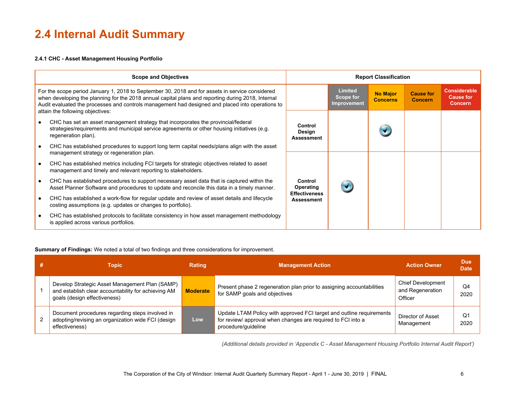## <span id="page-6-0"></span>**2.4 Internal Audit Summary**

#### **2.4.1 CHC - Asset Management Housing Portfolio**

| <b>Scope and Objectives</b>                                                                                                                                                                                                                                                                                                                   |                                    |                                                   | <b>Report Classification</b>       |                                    |                                                           |
|-----------------------------------------------------------------------------------------------------------------------------------------------------------------------------------------------------------------------------------------------------------------------------------------------------------------------------------------------|------------------------------------|---------------------------------------------------|------------------------------------|------------------------------------|-----------------------------------------------------------|
| For the scope period January 1, 2018 to September 30, 2018 and for assets in service considered<br>when developing the planning for the 2018 annual capital plans and reporting during 2018, Internal<br>Audit evaluated the processes and controls management had designed and placed into operations to<br>attain the following objectives: |                                    | <b>Limited</b><br>Scope for<br><b>Improvement</b> | <b>No Major</b><br><b>Concerns</b> | <b>Cause for</b><br><b>Concern</b> | <b>Considerable</b><br><b>Cause for</b><br><b>Concern</b> |
| CHC has set an asset management strategy that incorporates the provincial/federal<br>strategies/requirements and municipal service agreements or other housing initiatives (e.g.<br>regeneration plan).                                                                                                                                       | Control<br>Design<br>Assessment    |                                                   |                                    |                                    |                                                           |
| CHC has established procedures to support long term capital needs/plans align with the asset<br>management strategy or regeneration plan.                                                                                                                                                                                                     |                                    |                                                   |                                    |                                    |                                                           |
| CHC has established metrics including FCI targets for strategic objectives related to asset<br>management and timely and relevant reporting to stakeholders.                                                                                                                                                                                  |                                    |                                                   |                                    |                                    |                                                           |
| CHC has established procedures to support necessary asset data that is captured within the<br>Asset Planner Software and procedures to update and reconcile this data in a timely manner.                                                                                                                                                     | Control<br>Operating               |                                                   |                                    |                                    |                                                           |
| CHC has established a work-flow for regular update and review of asset details and lifecycle<br>costing assumptions (e.g. updates or changes to portfolio).                                                                                                                                                                                   | <b>Effectiveness</b><br>Assessment |                                                   |                                    |                                    |                                                           |
| CHC has established protocols to facilitate consistency in how asset management methodology<br>is applied across various portfolios.                                                                                                                                                                                                          |                                    |                                                   |                                    |                                    |                                                           |

#### **Summary of Findings:** We noted a total of two findings and three considerations for improvement.

| Topic                                                                                                                                 | <b>Rating</b>   | <b>Management Action</b>                                                                                                                                    | <b>Action Owner</b>                              | <b>Due</b><br><b>Date</b> |
|---------------------------------------------------------------------------------------------------------------------------------------|-----------------|-------------------------------------------------------------------------------------------------------------------------------------------------------------|--------------------------------------------------|---------------------------|
| Develop Strategic Asset Management Plan (SAMP)<br>and establish clear accountability for achieving AM<br>goals (design effectiveness) | <b>Moderate</b> | Present phase 2 regeneration plan prior to assigning accountabilities<br>for SAMP goals and objectives                                                      | Chief Development<br>and Regeneration<br>Officer | Q4<br>2020                |
| Document procedures regarding steps involved in<br>adopting/revising an organization wide FCI (design<br>effectiveness)               | Low             | Update LTAM Policy with approved FCI target and outline requirements<br>for review/ approval when changes are required to FCI into a<br>procedure/quideline | Director of Asset<br>Management                  | Q1<br>2020                |

 *(Additional details provided in 'Appendix C - Asset Management Housing Portfolio Internal Audit Report')*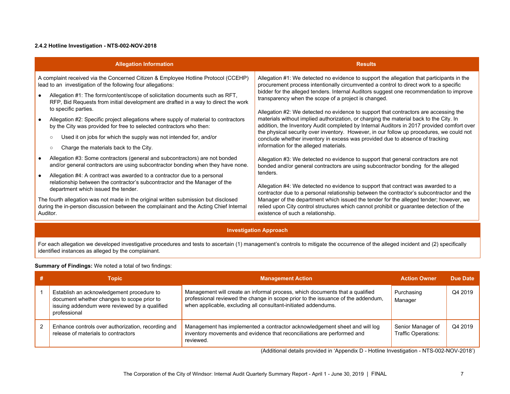#### **2.4.2 Hotline Investigation - NTS-002-NOV-2018**

| <b>Allegation Information</b>                                                                                                                                                                | <b>Results</b>                                                                                                                                                                                                                                                               |
|----------------------------------------------------------------------------------------------------------------------------------------------------------------------------------------------|------------------------------------------------------------------------------------------------------------------------------------------------------------------------------------------------------------------------------------------------------------------------------|
| A complaint received via the Concerned Citizen & Employee Hotline Protocol (CCEHP)<br>lead to an investigation of the following four allegations:                                            | Allegation #1: We detected no evidence to support the allegation that participants in the<br>procurement process intentionally circumvented a control to direct work to a specific                                                                                           |
| Allegation #1: The form/content/scope of solicitation documents such as RFT,<br>RFP, Bid Requests from initial development are drafted in a way to direct the work<br>to specific parties.   | bidder for the alleged tenders. Internal Auditors suggest one recommendation to improve<br>transparency when the scope of a project is changed.                                                                                                                              |
| Allegation #2: Specific project allegations where supply of material to contractors<br>by the City was provided for free to selected contractors who then:                                   | Allegation #2: We detected no evidence to support that contractors are accessing the<br>materials without implied authorization, or charging the material back to the City. In<br>addition, the Inventory Audit completed by Internal Auditors in 2017 provided comfort over |
| Used it on jobs for which the supply was not intended for, and/or<br>$\circ$                                                                                                                 | the physical security over inventory. However, in our follow up procedures, we could not<br>conclude whether inventory in excess was provided due to absence of tracking<br>information for the alleged materials.                                                           |
| Charge the materials back to the City.<br>$\circ$                                                                                                                                            |                                                                                                                                                                                                                                                                              |
| Allegation #3: Some contractors (general and subcontractors) are not bonded<br>and/or general contractors are using subcontractor bonding when they have none.                               | Allegation #3: We detected no evidence to support that general contractors are not<br>bonded and/or general contractors are using subcontractor bonding for the alleged                                                                                                      |
| Allegation #4: A contract was awarded to a contractor due to a personal<br>relationship between the contractor's subcontractor and the Manager of the<br>department which issued the tender. | tenders.<br>Allegation #4: We detected no evidence to support that contract was awarded to a<br>contractor due to a personal relationship between the contractor's subcontractor and the                                                                                     |
| The fourth allegation was not made in the original written submission but disclosed<br>during the in-person discussion between the complainant and the Acting Chief Internal<br>Auditor.     | Manager of the department which issued the tender for the alleged tender; however, we<br>relied upon City control structures which cannot prohibit or guarantee detection of the<br>existence of such a relationship.                                                        |

#### **Investigation Approach**

For each allegation we developed investigative procedures and tests to ascertain (1) management's controls to mitigate the occurrence of the alleged incident and (2) specifically identified instances as alleged by the complainant.

#### **Summary of Findings:** We noted a total of two findings:

| Topic                                                                                                                                                    | <b>Management Action</b>                                                                                                                                                                                                           | <b>Action Owner</b>                             | Due Date |
|----------------------------------------------------------------------------------------------------------------------------------------------------------|------------------------------------------------------------------------------------------------------------------------------------------------------------------------------------------------------------------------------------|-------------------------------------------------|----------|
| Establish an acknowledgement procedure to<br>document whether changes to scope prior to<br>issuing addendum were reviewed by a qualified<br>professional | Management will create an informal process, which documents that a qualified<br>professional reviewed the change in scope prior to the issuance of the addendum,<br>when applicable, excluding all consultant-initiated addendums. | Purchasing<br>Manager                           | Q4 2019  |
| Enhance controls over authorization, recording and<br>release of materials to contractors                                                                | Management has implemented a contractor acknowledgement sheet and will log<br>inventory movements and evidence that reconciliations are performed and<br>reviewed.                                                                 | Senior Manager of<br><b>Traffic Operations:</b> | Q4 2019  |

(Additional details provided in 'Appendix D - Hotline Investigation - NTS-002-NOV-2018')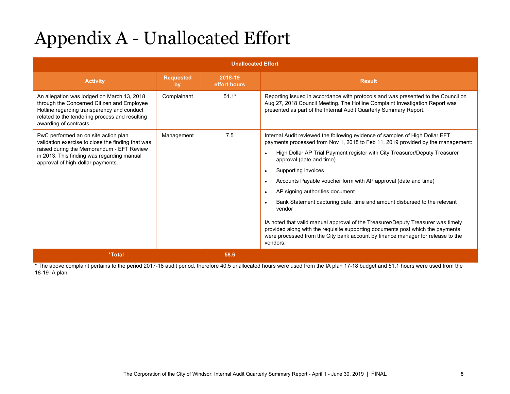# Appendix A - Unallocated Effort

|                                                                                                                                                                                                                    | <b>Unallocated Effort</b> |                         |                                                                                                                                                                                                                                                                   |  |  |  |  |
|--------------------------------------------------------------------------------------------------------------------------------------------------------------------------------------------------------------------|---------------------------|-------------------------|-------------------------------------------------------------------------------------------------------------------------------------------------------------------------------------------------------------------------------------------------------------------|--|--|--|--|
| <b>Activity</b>                                                                                                                                                                                                    | <b>Requested</b><br>by    | 2018-19<br>effort hours | <b>Result</b>                                                                                                                                                                                                                                                     |  |  |  |  |
| An allegation was lodged on March 13, 2018<br>through the Concerned Citizen and Employee<br>Hotline regarding transparency and conduct<br>related to the tendering process and resulting<br>awarding of contracts. | Complainant               | $51.1*$                 | Reporting issued in accordance with protocols and was presented to the Council on<br>Aug 27, 2018 Council Meeting. The Hotline Complaint Investigation Report was<br>presented as part of the Internal Audit Quarterly Summary Report.                            |  |  |  |  |
| PwC performed an on site action plan<br>validation exercise to close the finding that was                                                                                                                          | Management                | 7.5                     | Internal Audit reviewed the following evidence of samples of High Dollar EFT<br>payments processed from Nov 1, 2018 to Feb 11, 2019 provided by the management:                                                                                                   |  |  |  |  |
| raised during the Memorandum - EFT Review<br>in 2013. This finding was regarding manual<br>approval of high-dollar payments.                                                                                       |                           |                         | High Dollar AP Trial Payment register with City Treasurer/Deputy Treasurer<br>$\bullet$<br>approval (date and time)                                                                                                                                               |  |  |  |  |
|                                                                                                                                                                                                                    |                           |                         | Supporting invoices<br>$\bullet$                                                                                                                                                                                                                                  |  |  |  |  |
|                                                                                                                                                                                                                    |                           |                         | Accounts Payable voucher form with AP approval (date and time)<br>$\bullet$                                                                                                                                                                                       |  |  |  |  |
|                                                                                                                                                                                                                    |                           |                         | AP signing authorities document<br>$\bullet$                                                                                                                                                                                                                      |  |  |  |  |
|                                                                                                                                                                                                                    |                           |                         | Bank Statement capturing date, time and amount disbursed to the relevant<br>$\bullet$<br>vendor                                                                                                                                                                   |  |  |  |  |
|                                                                                                                                                                                                                    |                           |                         | IA noted that valid manual approval of the Treasurer/Deputy Treasurer was timely<br>provided along with the requisite supporting documents post which the payments<br>were processed from the City bank account by finance manager for release to the<br>vendors. |  |  |  |  |
| *Total                                                                                                                                                                                                             |                           | 58.6                    |                                                                                                                                                                                                                                                                   |  |  |  |  |

\* The above complaint pertains to the period 2017-18 audit period, therefore 40.5 unallocated hours were used from the IA plan 17-18 budget and 51.1 hours were used from the 18-19 IA plan.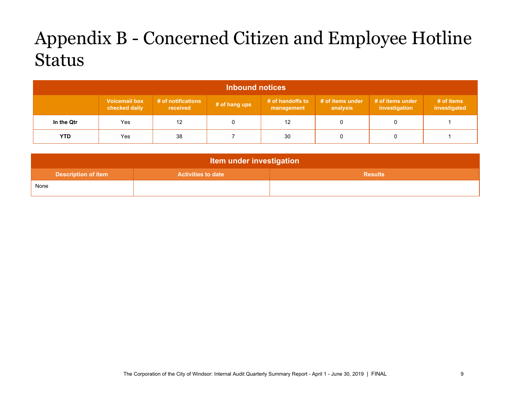## <span id="page-9-0"></span>Appendix B - Concerned Citizen and Employee Hotline Status

| <b>Inbound notices</b> |                                       |                                |               |                                |                              |                                   |                            |
|------------------------|---------------------------------------|--------------------------------|---------------|--------------------------------|------------------------------|-----------------------------------|----------------------------|
|                        | <b>Voicemail box</b><br>checked daily | # of notifications<br>received | # of hang ups | # of handoffs to<br>management | # of items under<br>analysis | # of items under<br>investigation | # of items<br>investigated |
| In the Qtr             | Yes                                   | 12                             |               | 12                             |                              |                                   |                            |
| <b>YTD</b>             | Yes                                   | 38                             |               | 30                             |                              |                                   |                            |

<span id="page-9-1"></span>

| <b>Item under investigation</b> |                           |                |  |  |  |  |
|---------------------------------|---------------------------|----------------|--|--|--|--|
| <b>Description of item</b>      | <b>Activities to date</b> | <b>Results</b> |  |  |  |  |
| None                            |                           |                |  |  |  |  |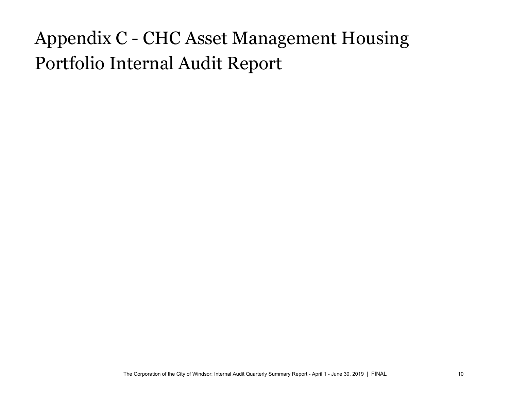# Appendix C - CHC Asset Management Housing Portfolio Internal Audit Report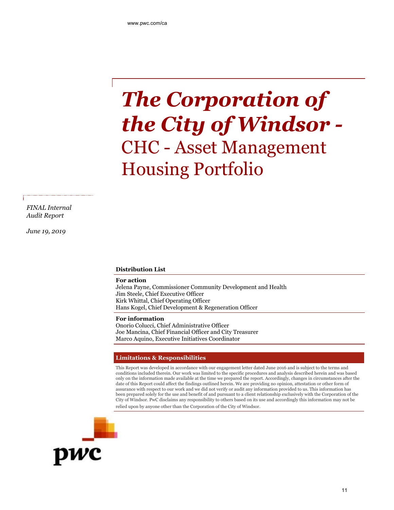# *The Corporation of the City of Windsor -* CHC - Asset Management Housing Portfolio

*FINAL Internal Audit Report*

*June 19, 2019*

#### **Distribution List**

#### **For action**

Jelena Payne, Commissioner Community Development and Health Jim Steele, Chief Executive Officer Kirk Whittal, Chief Operating Officer Hans Kogel, Chief Development & Regeneration Officer

#### **For information**

Onorio Colucci, Chief Administrative Officer Joe Mancina, Chief Financial Officer and City Treasurer Marco Aquino, Executive Initiatives Coordinator

#### **Limitations & Responsibilities**

This Report was developed in accordance with our engagement letter dated June 2016 and is subject to the terms and conditions included therein. Our work was limited to the specific procedures and analysis described herein and was based only on the information made available at the time we prepared the report. Accordingly, changes in circumstances after the date of this Report could affect the findings outlined herein. We are providing no opinion, attestation or other form of assurance with respect to our work and we did not verify or audit any information provided to us. This information has been prepared solely for the use and benefit of and pursuant to a client relationship exclusively with the Corporation of the City of Windsor. PwC disclaims any responsibility to others based on its use and accordingly this information may not be relied upon by anyone other than the Corporation of the City of Windsor.

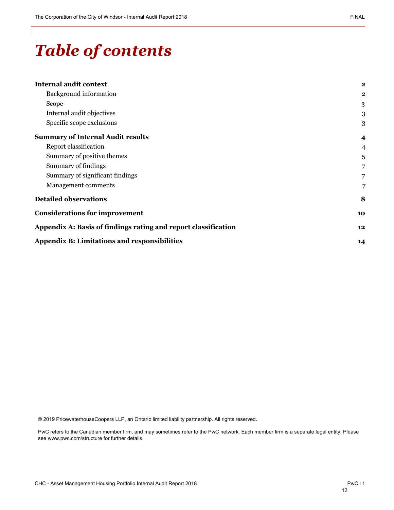## *Table of contents*

| <b>Internal audit context</b>                                  | $\mathbf{2}$            |
|----------------------------------------------------------------|-------------------------|
| <b>Background</b> information                                  | $\mathbf{2}$            |
| Scope                                                          | 3                       |
| Internal audit objectives                                      | 3                       |
| Specific scope exclusions                                      | 3                       |
| <b>Summary of Internal Audit results</b>                       | $\overline{\mathbf{4}}$ |
| Report classification                                          | $\overline{4}$          |
| Summary of positive themes                                     | 5                       |
| Summary of findings                                            | $\overline{7}$          |
| Summary of significant findings                                | $\overline{7}$          |
| Management comments                                            | 7                       |
| <b>Detailed observations</b>                                   | 8                       |
| <b>Considerations for improvement</b>                          | 10                      |
| Appendix A: Basis of findings rating and report classification | 12                      |
| <b>Appendix B: Limitations and responsibilities</b>            | 14                      |
|                                                                |                         |

© 2019 PricewaterhouseCoopers LLP, an Ontario limited liability partnership. All rights reserved.

PwC refers to the Canadian member firm, and may sometimes refer to the PwC network. Each member firm is a separate legal entity. Please see www.pwc.com/structure for further details.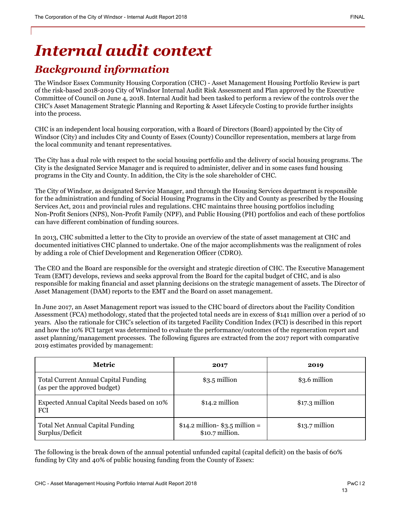## *Internal audit context*

## *Background information*

The Windsor Essex Community Housing Corporation (CHC) - Asset Management Housing Portfolio Review is part of the risk-based 2018-2019 City of Windsor Internal Audit Risk Assessment and Plan approved by the Executive Committee of Council on June 4, 2018. Internal Audit had been tasked to perform a review of the controls over the CHC's Asset Management Strategic Planning and Reporting & Asset Lifecycle Costing to provide further insights into the process.

CHC is an independent local housing corporation, with a Board of Directors (Board) appointed by the City of Windsor (City) and includes City and County of Essex (County) Councillor representation, members at large from the local community and tenant representatives.

The City has a dual role with respect to the social housing portfolio and the delivery of social housing programs. The City is the designated Service Manager and is required to administer, deliver and in some cases fund housing programs in the City and County. In addition, the City is the sole shareholder of CHC.

The City of Windsor, as designated Service Manager, and through the Housing Services department is responsible for the administration and funding of Social Housing Programs in the City and County as prescribed by the Housing Services Act, 2011 and provincial rules and regulations. CHC maintains three housing portfolios including Non-Profit Seniors (NPS), Non-Profit Family (NPF), and Public Housing (PH) portfolios and each of these portfolios can have different combination of funding sources.

In 2013, CHC submitted a letter to the City to provide an overview of the state of asset management at CHC and documented initiatives CHC planned to undertake. One of the major accomplishments was the realignment of roles by adding a role of Chief Development and Regeneration Officer (CDRO).

The CEO and the Board are responsible for the oversight and strategic direction of CHC. The Executive Management Team (EMT) develops, reviews and seeks approval from the Board for the capital budget of CHC, and is also responsible for making financial and asset planning decisions on the strategic management of assets. The Director of Asset Management (DAM) reports to the EMT and the Board on asset management.

In June 2017, an Asset Management report was issued to the CHC board of directors about the Facility Condition Assessment (FCA) methodology, stated that the projected total needs are in excess of \$141 million over a period of 10 years. Also the rationale for CHC's selection of its targeted Facility Condition Index (FCI) is described in this report and how the 10% FCI target was determined to evaluate the performance/outcomes of the regeneration report and asset planning/management processes. The following figures are extracted from the 2017 report with comparative 2019 estimates provided by management:

| Metric                                                                      | 2017                                                 | 2019            |
|-----------------------------------------------------------------------------|------------------------------------------------------|-----------------|
| <b>Total Current Annual Capital Funding</b><br>(as per the approved budget) | $$3.5$ million                                       | \$3.6 million   |
| Expected Annual Capital Needs based on 10%<br><b>FCI</b>                    | $$14.2$ million                                      | $$17.3$ million |
| <b>Total Net Annual Capital Funding</b><br>Surplus/Deficit                  | $$14.2$ million- $$3.5$ million =<br>\$10.7 million. | $$13.7$ million |

The following is the break down of the annual potential unfunded capital (capital deficit) on the basis of 60% funding by City and 40% of public housing funding from the County of Essex: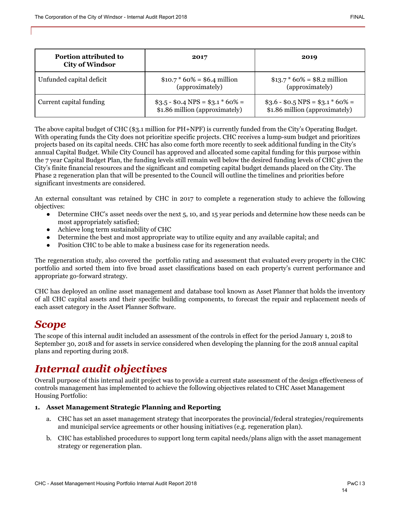| <b>Portion attributed to</b><br><b>City of Windsor</b> | 2017                                                                | 2019                                                                  |
|--------------------------------------------------------|---------------------------------------------------------------------|-----------------------------------------------------------------------|
| Unfunded capital deficit                               | $$10.7 * 60\% = $6.4$ million<br>(approximately)                    | $$13.7 * 60\% = $8.2$ million<br>(approximately)                      |
| Current capital funding                                | $$3.5 - $0.4 NPS = $3.1 * 60\% =$<br>\$1.86 million (approximately) | $$3.6 - $0.5$ NPS = \$3.1 $*$ 60% =<br>\$1.86 million (approximately) |

The above capital budget of CHC (\$3.1 million for PH+NPF) is currently funded from the City's Operating Budget. With operating funds the City does not prioritize specific projects. CHC receives a lump-sum budget and prioritizes projects based on its capital needs. CHC has also come forth more recently to seek additional funding in the City's annual Capital Budget. While City Council has approved and allocated some capital funding for this purpose within the 7 year Capital Budget Plan, the funding levels still remain well below the desired funding levels of CHC given the City's finite financial resources and the significant and competing capital budget demands placed on the City. The Phase 2 regeneration plan that will be presented to the Council will outline the timelines and priorities before significant investments are considered.

An external consultant was retained by CHC in 2017 to complete a regeneration study to achieve the following objectives:

- Determine CHC's asset needs over the next 5, 10, and 15 year periods and determine how these needs can be most appropriately satisfied;
- Achieve long term sustainability of CHC
- Determine the best and most appropriate way to utilize equity and any available capital; and
- Position CHC to be able to make a business case for its regeneration needs.

The regeneration study, also covered the portfolio rating and assessment that evaluated every property in the CHC portfolio and sorted them into five broad asset classifications based on each property's current performance and appropriate go-forward strategy.

CHC has deployed an online asset management and database tool known as Asset Planner that holds the inventory of all CHC capital assets and their specific building components, to forecast the repair and replacement needs of each asset category in the Asset Planner Software.

## *Scope*

The scope of this internal audit included an assessment of the controls in effect for the period January 1, 2018 to September 30, 2018 and for assets in service considered when developing the planning for the 2018 annual capital plans and reporting during 2018.

## *Internal audit objectives*

Overall purpose of this internal audit project was to provide a current state assessment of the design effectiveness of controls management has implemented to achieve the following objectives related to CHC Asset Management Housing Portfolio:

#### **1. Asset Management Strategic Planning and Reporting**

- a. CHC has set an asset management strategy that incorporates the provincial/federal strategies/requirements and municipal service agreements or other housing initiatives (e.g. regeneration plan).
- b. CHC has established procedures to support long term capital needs/plans align with the asset management strategy or regeneration plan.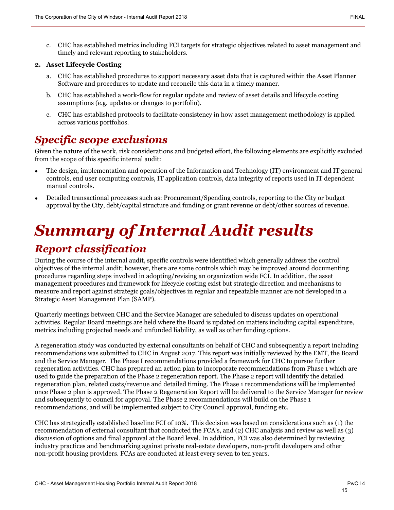c. CHC has established metrics including FCI targets for strategic objectives related to asset management and timely and relevant reporting to stakeholders.

#### **2. Asset Lifecycle Costing**

- a. CHC has established procedures to support necessary asset data that is captured within the Asset Planner Software and procedures to update and reconcile this data in a timely manner.
- b. CHC has established a work-flow for regular update and review of asset details and lifecycle costing assumptions (e.g. updates or changes to portfolio).
- c. CHC has established protocols to facilitate consistency in how asset management methodology is applied across various portfolios.

## *Specific scope exclusions*

Given the nature of the work, risk considerations and budgeted effort, the following elements are explicitly excluded from the scope of this specific internal audit:

- The design, implementation and operation of the Information and Technology (IT) environment and IT general controls, end user computing controls, IT application controls, data integrity of reports used in IT dependent manual controls.
- Detailed transactional processes such as: Procurement/Spending controls, reporting to the City or budget approval by the City, debt/capital structure and funding or grant revenue or debt/other sources of revenue.

## *Summary of Internal Audit results*

## *Report classification*

During the course of the internal audit, specific controls were identified which generally address the control objectives of the internal audit; however, there are some controls which may be improved around documenting procedures regarding steps involved in adopting/revising an organization wide FCI. In addition, the asset management procedures and framework for lifecycle costing exist but strategic direction and mechanisms to measure and report against strategic goals/objectives in regular and repeatable manner are not developed in a Strategic Asset Management Plan (SAMP).

Quarterly meetings between CHC and the Service Manager are scheduled to discuss updates on operational activities. Regular Board meetings are held where the Board is updated on matters including capital expenditure, metrics including projected needs and unfunded liability, as well as other funding options.

A regeneration study was conducted by external consultants on behalf of CHC and subsequently a report including recommendations was submitted to CHC in August 2017. This report was initially reviewed by the EMT, the Board and the Service Manager. The Phase I recommendations provided a framework for CHC to pursue further regeneration activities. CHC has prepared an action plan to incorporate recommendations from Phase 1 which are used to guide the preparation of the Phase 2 regeneration report. The Phase 2 report will identify the detailed regeneration plan, related costs/revenue and detailed timing. The Phase 1 recommendations will be implemented once Phase 2 plan is approved. The Phase 2 Regeneration Report will be delivered to the Service Manager for review and subsequently to council for approval. The Phase 2 recommendations will build on the Phase 1 recommendations, and will be implemented subject to City Council approval, funding etc.

CHC has strategically established baseline FCI of 10%. This decision was based on considerations such as (1) the recommendation of external consultant that conducted the FCA's, and (2) CHC analysis and review as well as (3) discussion of options and final approval at the Board level. In addition, FCI was also determined by reviewing industry practices and benchmarking against private real-estate developers, non-profit developers and other non-profit housing providers. FCAs are conducted at least every seven to ten years.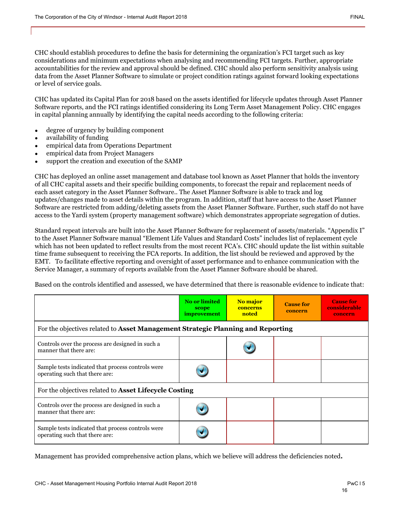CHC should establish procedures to define the basis for determining the organization's FCI target such as key considerations and minimum expectations when analysing and recommending FCI targets. Further, appropriate accountabilities for the review and approval should be defined. CHC should also perform sensitivity analysis using data from the Asset Planner Software to simulate or project condition ratings against forward looking expectations or level of service goals.

CHC has updated its Capital Plan for 2018 based on the assets identified for lifecycle updates through Asset Planner Software reports, and the FCI ratings identified considering its Long Term Asset Management Policy. CHC engages in capital planning annually by identifying the capital needs according to the following criteria:

- degree of urgency by building component
- availability of funding
- empirical data from Operations Department
- empirical data from Project Managers
- support the creation and execution of the SAMP

CHC has deployed an online asset management and database tool known as Asset Planner that holds the inventory of all CHC capital assets and their specific building components, to forecast the repair and replacement needs of each asset category in the Asset Planner Software.. The Asset Planner Software is able to track and log updates/changes made to asset details within the program. In addition, staff that have access to the Asset Planner Software are restricted from adding/deleting assets from the Asset Planner Software. Further, such staff do not have access to the Yardi system (property management software) which demonstrates appropriate segregation of duties.

Standard repeat intervals are built into the Asset Planner Software for replacement of assets/materials. "Appendix I" to the Asset Planner Software manual "Element Life Values and Standard Costs" includes list of replacement cycle which has not been updated to reflect results from the most recent FCA's. CHC should update the list within suitable time frame subsequent to receiving the FCA reports. In addition, the list should be reviewed and approved by the EMT. To facilitate effective reporting and oversight of asset performance and to enhance communication with the Service Manager, a summary of reports available from the Asset Planner Software should be shared.

Based on the controls identified and assessed, we have determined that there is reasonable evidence to indicate that:

|                                                                                     | <b>No or limited</b><br>scope<br><i>improvement</i> | No major<br>concerns<br>noted | <b>Cause for</b><br>concern | <b>Cause for</b><br>considerable<br>concern |
|-------------------------------------------------------------------------------------|-----------------------------------------------------|-------------------------------|-----------------------------|---------------------------------------------|
| For the objectives related to Asset Management Strategic Planning and Reporting     |                                                     |                               |                             |                                             |
| Controls over the process are designed in such a<br>manner that there are:          |                                                     |                               |                             |                                             |
| Sample tests indicated that process controls were<br>operating such that there are: |                                                     |                               |                             |                                             |
| For the objectives related to Asset Lifecycle Costing                               |                                                     |                               |                             |                                             |
| Controls over the process are designed in such a<br>manner that there are:          |                                                     |                               |                             |                                             |
| Sample tests indicated that process controls were<br>operating such that there are: |                                                     |                               |                             |                                             |

Management has provided comprehensive action plans, which we believe will address the deficiencies noted**.**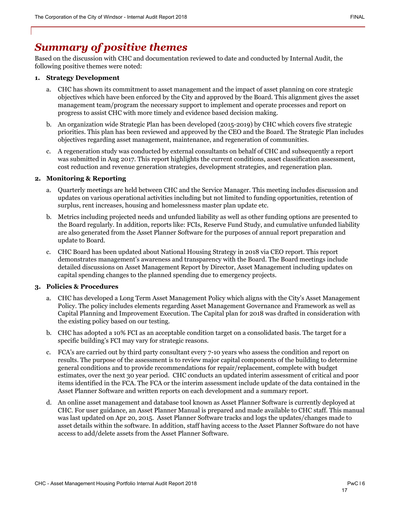## *Summary of positive themes*

Based on the discussion with CHC and documentation reviewed to date and conducted by Internal Audit, the following positive themes were noted:

#### **1. Strategy Development**

- a. CHC has shown its commitment to asset management and the impact of asset planning on core strategic objectives which have been enforced by the City and approved by the Board. This alignment gives the asset management team/program the necessary support to implement and operate processes and report on progress to assist CHC with more timely and evidence based decision making.
- b. An organization wide Strategic Plan has been developed (2015-2019) by CHC which covers five strategic priorities. This plan has been reviewed and approved by the CEO and the Board. The Strategic Plan includes objectives regarding asset management, maintenance, and regeneration of communities.
- c. A regeneration study was conducted by external consultants on behalf of CHC and subsequently a report was submitted in Aug 2017. This report highlights the current conditions, asset classification assessment, cost reduction and revenue generation strategies, development strategies, and regeneration plan.

#### **2. Monitoring & Reporting**

- a. Quarterly meetings are held between CHC and the Service Manager. This meeting includes discussion and updates on various operational activities including but not limited to funding opportunities, retention of surplus, rent increases, housing and homelessness master plan update etc.
- b. Metrics including projected needs and unfunded liability as well as other funding options are presented to the Board regularly. In addition, reports like: FCIs, Reserve Fund Study, and cumulative unfunded liability are also generated from the Asset Planner Software for the purposes of annual report preparation and update to Board.
- c. CHC Board has been updated about National Housing Strategy in 2018 via CEO report. This report demonstrates management's awareness and transparency with the Board. The Board meetings include detailed discussions on Asset Management Report by Director, Asset Management including updates on capital spending changes to the planned spending due to emergency projects.

#### **3. Policies & Procedures**

- a. CHC has developed a Long Term Asset Management Policy which aligns with the City's Asset Management Policy. The policy includes elements regarding Asset Management Governance and Framework as well as Capital Planning and Improvement Execution. The Capital plan for 2018 was drafted in consideration with the existing policy based on our testing.
- b. CHC has adopted a 10% FCI as an acceptable condition target on a consolidated basis. The target for a specific building's FCI may vary for strategic reasons.
- c. FCA's are carried out by third party consultant every 7-10 years who assess the condition and report on results. The purpose of the assessment is to review major capital components of the building to determine general conditions and to provide recommendations for repair/replacement, complete with budget estimates, over the next 30 year period. CHC conducts an updated interim assessment of critical and poor items identified in the FCA. The FCA or the interim assessment include update of the data contained in the Asset Planner Software and written reports on each development and a summary report.
- d. An online asset management and database tool known as Asset Planner Software is currently deployed at CHC. For user guidance, an Asset Planner Manual is prepared and made available to CHC staff. This manual was last updated on Apr 20, 2015. Asset Planner Software tracks and logs the updates/changes made to asset details within the software. In addition, staff having access to the Asset Planner Software do not have access to add/delete assets from the Asset Planner Software.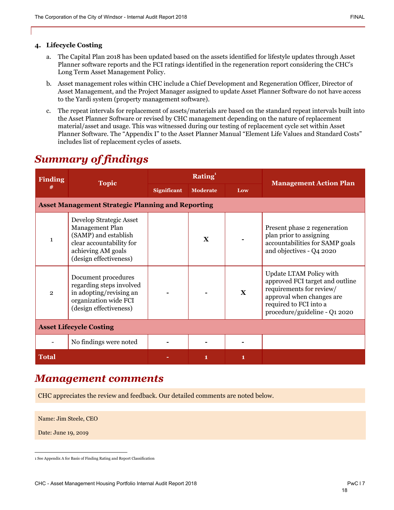#### **4. Lifecycle Costing**

- a. The Capital Plan 2018 has been updated based on the assets identified for lifestyle updates through Asset Planner software reports and the FCI ratings identified in the regeneration report considering the CHC's Long Term Asset Management Policy.
- b. Asset management roles within CHC include a Chief Development and Regeneration Officer, Director of Asset Management, and the Project Manager assigned to update Asset Planner Software do not have access to the Yardi system (property management software).
- c. The repeat intervals for replacement of assets/materials are based on the standard repeat intervals built into the Asset Planner Software or revised by CHC management depending on the nature of replacement material/asset and usage. This was witnessed during our testing of replacement cycle set within Asset Planner Software. The "Appendix I" to the Asset Planner Manual "Element Life Values and Standard Costs" includes list of replacement cycles of assets.

| <b>Finding</b> |                                                                                                                                                |                    | Rating $1$      |              |                                                                                                                                                                                |
|----------------|------------------------------------------------------------------------------------------------------------------------------------------------|--------------------|-----------------|--------------|--------------------------------------------------------------------------------------------------------------------------------------------------------------------------------|
| #              | <b>Topic</b>                                                                                                                                   | <b>Significant</b> | <b>Moderate</b> | Low          | <b>Management Action Plan</b>                                                                                                                                                  |
|                | <b>Asset Management Strategic Planning and Reporting</b>                                                                                       |                    |                 |              |                                                                                                                                                                                |
| $\mathbf{1}$   | Develop Strategic Asset<br>Management Plan<br>(SAMP) and establish<br>clear accountability for<br>achieving AM goals<br>(design effectiveness) |                    | $\mathbf{x}$    |              | Present phase 2 regeneration<br>plan prior to assigning<br>accountabilities for SAMP goals<br>and objectives - Q4 2020                                                         |
| $\overline{2}$ | Document procedures<br>regarding steps involved<br>in adopting/revising an<br>organization wide FCI<br>(design effectiveness)                  |                    |                 | $\mathbf{X}$ | Update LTAM Policy with<br>approved FCI target and outline<br>requirements for review/<br>approval when changes are<br>required to FCI into a<br>procedure/guideline - Q1 2020 |
|                | <b>Asset Lifecycle Costing</b>                                                                                                                 |                    |                 |              |                                                                                                                                                                                |
|                | No findings were noted                                                                                                                         |                    |                 |              |                                                                                                                                                                                |
| <b>Total</b>   |                                                                                                                                                |                    | 1               | 1            |                                                                                                                                                                                |

## *Summary of findings*

### *Management comments*

CHC appreciates the review and feedback. Our detailed comments are noted below.

Name: Jim Steele, CEO

Date: June 19, 2019

<sup>1</sup> See Appendix A for Basis of Finding Rating and Report Classification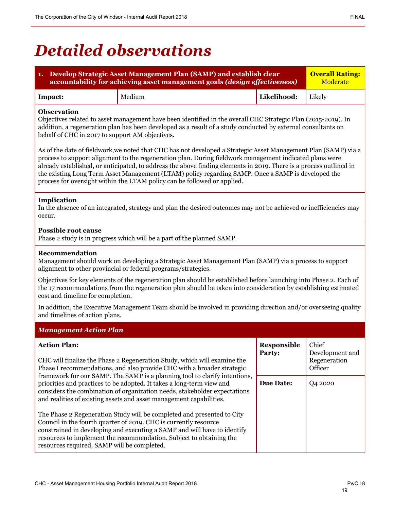## *Detailed observations*

**1. Develop Strategic Asset Management Plan (SAMP) and establish clear**

**accountability for achieving asset management goals** *(design effectiveness)*

| Impact:                                                                                                                                                                                                                                                                                                                                                                                                                                                                                                                            | Medium                                                                                                                                                                                                                              | Likelihood: | Likely            |  |
|------------------------------------------------------------------------------------------------------------------------------------------------------------------------------------------------------------------------------------------------------------------------------------------------------------------------------------------------------------------------------------------------------------------------------------------------------------------------------------------------------------------------------------|-------------------------------------------------------------------------------------------------------------------------------------------------------------------------------------------------------------------------------------|-------------|-------------------|--|
| <b>Observation</b><br>Objectives related to asset management have been identified in the overall CHC Strategic Plan (2015-2019). In<br>addition, a regeneration plan has been developed as a result of a study conducted by external consultants on<br>behalf of CHC in 2017 to support AM objectives.                                                                                                                                                                                                                             |                                                                                                                                                                                                                                     |             |                   |  |
| As of the date of fieldwork, we noted that CHC has not developed a Strategic Asset Management Plan (SAMP) via a<br>process to support alignment to the regeneration plan. During fieldwork management indicated plans were<br>already established, or anticipated, to address the above finding elements in 2019. There is a process outlined in<br>the existing Long Term Asset Management (LTAM) policy regarding SAMP. Once a SAMP is developed the<br>process for oversight within the LTAM policy can be followed or applied. |                                                                                                                                                                                                                                     |             |                   |  |
| Implication<br>occur.                                                                                                                                                                                                                                                                                                                                                                                                                                                                                                              | In the absence of an integrated, strategy and plan the desired outcomes may not be achieved or inefficiencies may                                                                                                                   |             |                   |  |
| <b>Possible root cause</b>                                                                                                                                                                                                                                                                                                                                                                                                                                                                                                         | Phase 2 study is in progress which will be a part of the planned SAMP.                                                                                                                                                              |             |                   |  |
| Recommendation                                                                                                                                                                                                                                                                                                                                                                                                                                                                                                                     | Management should work on developing a Strategic Asset Management Plan (SAMP) via a process to support<br>alignment to other provincial or federal programs/strategies.                                                             |             |                   |  |
| cost and timeline for completion.                                                                                                                                                                                                                                                                                                                                                                                                                                                                                                  | Objectives for key elements of the regeneration plan should be established before launching into Phase 2. Each of<br>the 17 recommendations from the regeneration plan should be taken into consideration by establishing estimated |             |                   |  |
| and timelines of action plans.                                                                                                                                                                                                                                                                                                                                                                                                                                                                                                     | In addition, the Executive Management Team should be involved in providing direction and/or overseeing quality                                                                                                                      |             |                   |  |
| <b>Management Action Plan</b>                                                                                                                                                                                                                                                                                                                                                                                                                                                                                                      |                                                                                                                                                                                                                                     |             |                   |  |
| <b>Action Plan:</b><br>Responsible<br>Chief<br>Development and<br>Party:<br>Regeneration<br>CHC will finalize the Phase 2 Regeneration Study, which will examine the<br>Phase I recommendations, and also provide CHC with a broader strategic<br>Officer                                                                                                                                                                                                                                                                          |                                                                                                                                                                                                                                     |             |                   |  |
| framework for our SAMP. The SAMP is a planning tool to clarify intentions,<br><b>Due Date:</b><br>Q4 2020<br>priorities and practices to be adopted. It takes a long-term view and<br>considers the combination of organization needs, stakeholder expectations<br>and realities of existing assets and asset management capabilities.                                                                                                                                                                                             |                                                                                                                                                                                                                                     |             |                   |  |
| The Phase 2 Regeneration Study will be completed and presented to City<br>Council in the fourth quarter of 2019. CHC is currently resource<br>constrained in developing and executing a SAMP and will have to identify<br>resources to implement the recommendation. Subject to obtaining the<br>resources required, SAMP will be completed.                                                                                                                                                                                       |                                                                                                                                                                                                                                     |             |                   |  |
| CHC - Asset Management Housing Portfolio Internal Audit Report 2018                                                                                                                                                                                                                                                                                                                                                                                                                                                                |                                                                                                                                                                                                                                     |             | PwC <sub>18</sub> |  |

**Overall Rating:** Moderate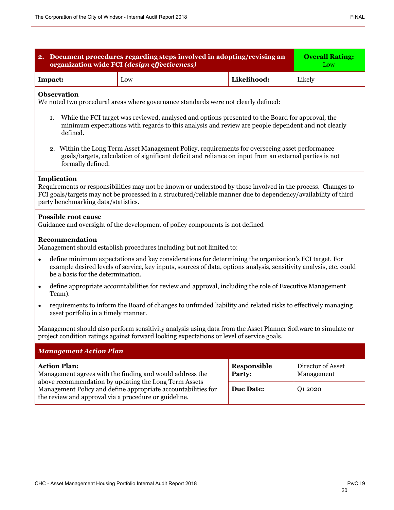| 2. Document procedures regarding steps involved in adopting/revising an<br>organization wide FCI (design effectiveness)                                                                                        | <b>Overall Rating:</b><br>Low                                                                                                                                                                                                  |                   |        |  |
|----------------------------------------------------------------------------------------------------------------------------------------------------------------------------------------------------------------|--------------------------------------------------------------------------------------------------------------------------------------------------------------------------------------------------------------------------------|-------------------|--------|--|
| Impact:                                                                                                                                                                                                        | Low                                                                                                                                                                                                                            | Likelihood:       | Likely |  |
| <b>Observation</b>                                                                                                                                                                                             | We noted two procedural areas where governance standards were not clearly defined:                                                                                                                                             |                   |        |  |
| 1.<br>defined.                                                                                                                                                                                                 | While the FCI target was reviewed, analysed and options presented to the Board for approval, the<br>minimum expectations with regards to this analysis and review are people dependent and not clearly                         |                   |        |  |
| formally defined.                                                                                                                                                                                              | 2. Within the Long Term Asset Management Policy, requirements for overseeing asset performance<br>goals/targets, calculation of significant deficit and reliance on input from an external parties is not                      |                   |        |  |
| Implication<br>party benchmarking data/statistics.                                                                                                                                                             | Requirements or responsibilities may not be known or understood by those involved in the process. Changes to<br>FCI goals/targets may not be processed in a structured/reliable manner due to dependency/availability of third |                   |        |  |
| <b>Possible root cause</b>                                                                                                                                                                                     | Guidance and oversight of the development of policy components is not defined                                                                                                                                                  |                   |        |  |
| <b>Recommendation</b>                                                                                                                                                                                          | Management should establish procedures including but not limited to:                                                                                                                                                           |                   |        |  |
| $\bullet$<br>be a basis for the determination.                                                                                                                                                                 | define minimum expectations and key considerations for determining the organization's FCI target. For<br>example desired levels of service, key inputs, sources of data, options analysis, sensitivity analysis, etc. could    |                   |        |  |
| $\bullet$<br>Team).                                                                                                                                                                                            | define appropriate accountabilities for review and approval, including the role of Executive Management                                                                                                                        |                   |        |  |
| $\bullet$<br>asset portfolio in a timely manner.                                                                                                                                                               | requirements to inform the Board of changes to unfunded liability and related risks to effectively managing                                                                                                                    |                   |        |  |
| Management should also perform sensitivity analysis using data from the Asset Planner Software to simulate or<br>project condition ratings against forward looking expectations or level of service goals.     |                                                                                                                                                                                                                                |                   |        |  |
| <b>Management Action Plan</b>                                                                                                                                                                                  |                                                                                                                                                                                                                                |                   |        |  |
| <b>Action Plan:</b><br>Responsible<br>Management agrees with the finding and would address the<br>Party:<br>Management                                                                                         |                                                                                                                                                                                                                                | Director of Asset |        |  |
| above recommendation by updating the Long Term Assets<br><b>Due Date:</b><br>Management Policy and define appropriate accountabilities for<br>Q1 2020<br>the review and approval via a procedure or guideline. |                                                                                                                                                                                                                                |                   |        |  |
|                                                                                                                                                                                                                |                                                                                                                                                                                                                                |                   |        |  |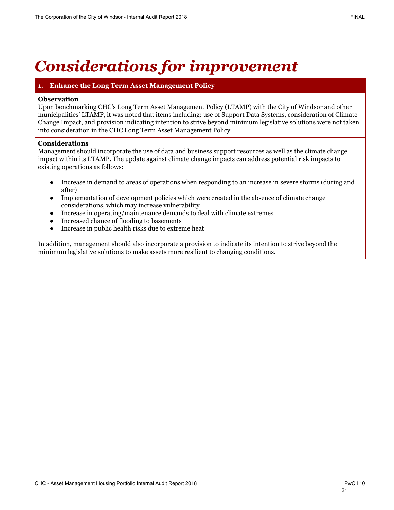## *Considerations for improvement*

#### **1. Enhance the Long Term Asset Management Policy**

#### **Observation**

Upon benchmarking CHC's Long Term Asset Management Policy (LTAMP) with the City of Windsor and other municipalities' LTAMP, it was noted that items including: use of Support Data Systems, consideration of Climate Change Impact, and provision indicating intention to strive beyond minimum legislative solutions were not taken into consideration in the CHC Long Term Asset Management Policy.

#### **Considerations**

Management should incorporate the use of data and business support resources as well as the climate change impact within its LTAMP. The update against climate change impacts can address potential risk impacts to existing operations as follows:

- Increase in demand to areas of operations when responding to an increase in severe storms (during and after)
- Implementation of development policies which were created in the absence of climate change considerations, which may increase vulnerability
- Increase in operating/maintenance demands to deal with climate extremes
- Increased chance of flooding to basements
- Increase in public health risks due to extreme heat

In addition, management should also incorporate a provision to indicate its intention to strive beyond the minimum legislative solutions to make assets more resilient to changing conditions.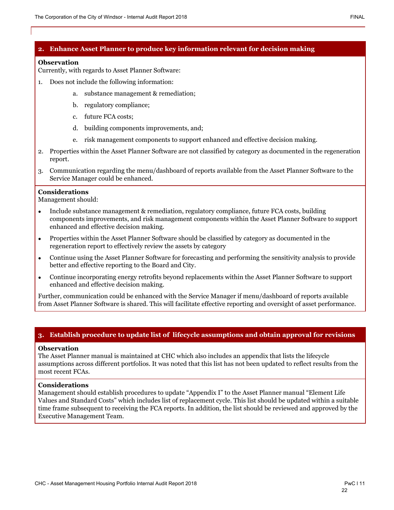#### **2. Enhance Asset Planner to produce key information relevant for decision making**

#### **Observation**

Currently, with regards to Asset Planner Software:

- 1. Does not include the following information:
	- a. substance management & remediation;
	- b. regulatory compliance;
	- c. future FCA costs;
	- d. building components improvements, and;
	- e. risk management components to support enhanced and effective decision making.
- 2. Properties within the Asset Planner Software are not classified by category as documented in the regeneration report.
- 3. Communication regarding the menu/dashboard of reports available from the Asset Planner Software to the Service Manager could be enhanced.

#### **Considerations**

Management should:

- Include substance management & remediation, regulatory compliance, future FCA costs, building components improvements, and risk management components within the Asset Planner Software to support enhanced and effective decision making.
- Properties within the Asset Planner Software should be classified by category as documented in the regeneration report to effectively review the assets by category
- Continue using the Asset Planner Software for forecasting and performing the sensitivity analysis to provide better and effective reporting to the Board and City.
- Continue incorporating energy retrofits beyond replacements within the Asset Planner Software to support enhanced and effective decision making.

Further, communication could be enhanced with the Service Manager if menu/dashboard of reports available from Asset Planner Software is shared. This will facilitate effective reporting and oversight of asset performance.

#### **3. Establish procedure to update list of lifecycle assumptions and obtain approval for revisions**

#### **Observation**

The Asset Planner manual is maintained at CHC which also includes an appendix that lists the lifecycle assumptions across different portfolios. It was noted that this list has not been updated to reflect results from the most recent FCAs.

#### **Considerations**

Management should establish procedures to update "Appendix I" to the Asset Planner manual "Element Life Values and Standard Costs" which includes list of replacement cycle. This list should be updated within a suitable time frame subsequent to receiving the FCA reports. In addition, the list should be reviewed and approved by the Executive Management Team.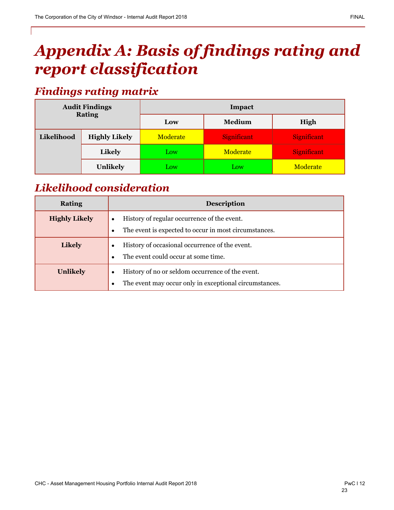## *Appendix A: Basis of findings rating and report classification*

## *Findings rating matrix*

| <b>Audit Findings</b><br><b>Rating</b> |                      | Impact          |                    |                    |
|----------------------------------------|----------------------|-----------------|--------------------|--------------------|
|                                        |                      | Low             | Medium             | High               |
| Likelihood                             | <b>Highly Likely</b> | <b>Moderate</b> | <b>Significant</b> | Significant        |
|                                        | <b>Likely</b>        | Low             | Moderate           | <b>Significant</b> |
|                                        | <b>Unlikely</b>      | Low             | Low                | Moderate           |

## *Likelihood consideration*

| <b>Rating</b>        | <b>Description</b>                                                                                         |
|----------------------|------------------------------------------------------------------------------------------------------------|
| <b>Highly Likely</b> | History of regular occurrence of the event.<br>The event is expected to occur in most circumstances.       |
| <b>Likely</b>        | History of occasional occurrence of the event.<br>The event could occur at some time.                      |
| <b>Unlikely</b>      | History of no or seldom occurrence of the event.<br>The event may occur only in exceptional circumstances. |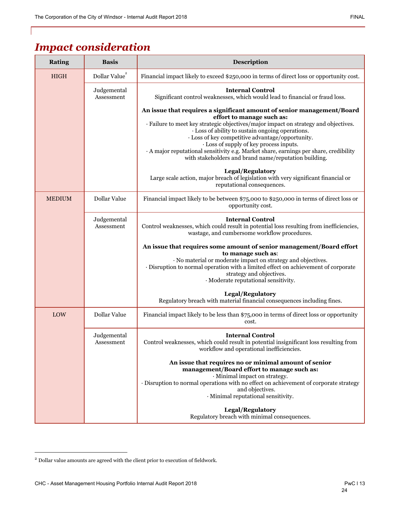## *Impact consideration*

| <b>Rating</b> | <b>Basis</b>              | Description                                                                                                                                                                                                                                                                                                                                                                                                                                                                                                         |
|---------------|---------------------------|---------------------------------------------------------------------------------------------------------------------------------------------------------------------------------------------------------------------------------------------------------------------------------------------------------------------------------------------------------------------------------------------------------------------------------------------------------------------------------------------------------------------|
| <b>HIGH</b>   | Dollar Value $\real^2$    | Financial impact likely to exceed \$250,000 in terms of direct loss or opportunity cost.                                                                                                                                                                                                                                                                                                                                                                                                                            |
|               | Judgemental<br>Assessment | <b>Internal Control</b><br>Significant control weaknesses, which would lead to financial or fraud loss.                                                                                                                                                                                                                                                                                                                                                                                                             |
|               |                           | An issue that requires a significant amount of senior management/Board<br>effort to manage such as:<br>· Failure to meet key strategic objectives/major impact on strategy and objectives.<br>· Loss of ability to sustain ongoing operations.<br>· Loss of key competitive advantage/opportunity.<br>· Loss of supply of key process inputs.<br>· A major reputational sensitivity e.g. Market share, earnings per share, credibility<br>with stakeholders and brand name/reputation building.<br>Legal/Regulatory |
|               |                           | Large scale action, major breach of legislation with very significant financial or<br>reputational consequences.                                                                                                                                                                                                                                                                                                                                                                                                    |
| <b>MEDIUM</b> | Dollar Value              | Financial impact likely to be between \$75,000 to \$250,000 in terms of direct loss or<br>opportunity cost.                                                                                                                                                                                                                                                                                                                                                                                                         |
|               | Judgemental<br>Assessment | <b>Internal Control</b><br>Control weaknesses, which could result in potential loss resulting from inefficiencies,<br>wastage, and cumbersome workflow procedures.                                                                                                                                                                                                                                                                                                                                                  |
|               |                           | An issue that requires some amount of senior management/Board effort<br>to manage such as:<br>· No material or moderate impact on strategy and objectives.<br>· Disruption to normal operation with a limited effect on achievement of corporate<br>strategy and objectives.<br>· Moderate reputational sensitivity.                                                                                                                                                                                                |
|               |                           | Legal/Regulatory<br>Regulatory breach with material financial consequences including fines.                                                                                                                                                                                                                                                                                                                                                                                                                         |
| LOW           | Dollar Value              | Financial impact likely to be less than \$75,000 in terms of direct loss or opportunity<br>cost.                                                                                                                                                                                                                                                                                                                                                                                                                    |
|               | Judgemental<br>Assessment | <b>Internal Control</b><br>Control weaknesses, which could result in potential insignificant loss resulting from<br>workflow and operational inefficiencies.                                                                                                                                                                                                                                                                                                                                                        |
|               |                           | An issue that requires no or minimal amount of senior<br>management/Board effort to manage such as:<br>· Minimal impact on strategy.<br>· Disruption to normal operations with no effect on achievement of corporate strategy<br>and objectives.<br>· Minimal reputational sensitivity.                                                                                                                                                                                                                             |
|               |                           | Legal/Regulatory<br>Regulatory breach with minimal consequences.                                                                                                                                                                                                                                                                                                                                                                                                                                                    |

 $^{\rm 2}$  Dollar value amounts are agreed with the client prior to execution of fieldwork.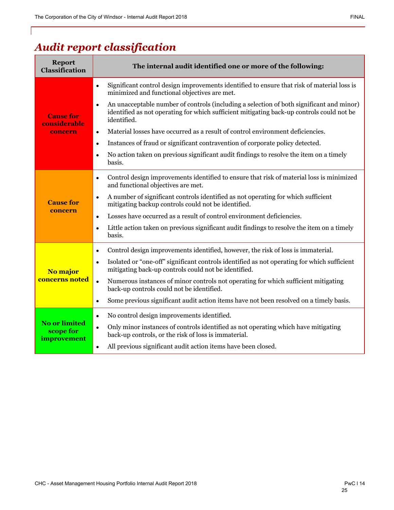## *Audit report classification*

| <b>Report</b><br>Classification                  | The internal audit identified one or more of the following:                                                                                                                                                       |
|--------------------------------------------------|-------------------------------------------------------------------------------------------------------------------------------------------------------------------------------------------------------------------|
| <b>Cause for</b><br>considerable                 | Significant control design improvements identified to ensure that risk of material loss is<br>$\bullet$<br>minimized and functional objectives are met.                                                           |
|                                                  | An unacceptable number of controls (including a selection of both significant and minor)<br>$\bullet$<br>identified as not operating for which sufficient mitigating back-up controls could not be<br>identified. |
| concern                                          | Material losses have occurred as a result of control environment deficiencies.<br>$\bullet$                                                                                                                       |
|                                                  | Instances of fraud or significant contravention of corporate policy detected.<br>$\bullet$                                                                                                                        |
|                                                  | No action taken on previous significant audit findings to resolve the item on a timely<br>basis.                                                                                                                  |
|                                                  | Control design improvements identified to ensure that risk of material loss is minimized<br>$\bullet$<br>and functional objectives are met.                                                                       |
| <b>Cause for</b>                                 | A number of significant controls identified as not operating for which sufficient<br>$\bullet$<br>mitigating backup controls could not be identified.                                                             |
| concern                                          | Losses have occurred as a result of control environment deficiencies.<br>$\bullet$                                                                                                                                |
|                                                  | Little action taken on previous significant audit findings to resolve the item on a timely<br>$\bullet$<br>basis.                                                                                                 |
|                                                  | Control design improvements identified, however, the risk of loss is immaterial.<br>$\bullet$                                                                                                                     |
| No major                                         | Isolated or "one-off" significant controls identified as not operating for which sufficient<br>$\bullet$<br>mitigating back-up controls could not be identified.                                                  |
| <b>concerns noted</b>                            | Numerous instances of minor controls not operating for which sufficient mitigating<br>$\bullet$<br>back-up controls could not be identified.                                                                      |
|                                                  | Some previous significant audit action items have not been resolved on a timely basis.<br>$\bullet$                                                                                                               |
|                                                  | No control design improvements identified.<br>$\bullet$                                                                                                                                                           |
| <b>No or limited</b><br>scope for<br>improvement | Only minor instances of controls identified as not operating which have mitigating<br>$\bullet$<br>back-up controls, or the risk of loss is immaterial.                                                           |
|                                                  | All previous significant audit action items have been closed.<br>$\bullet$                                                                                                                                        |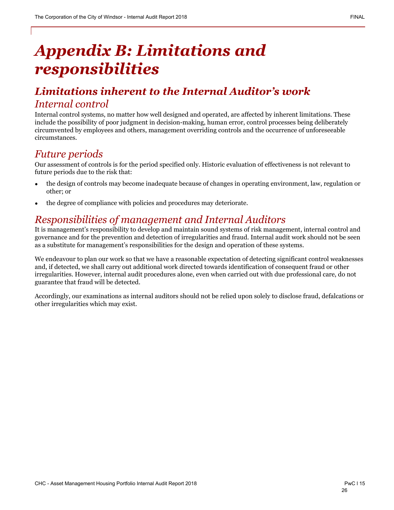## *Appendix B: Limitations and responsibilities*

## *Limitations inherent to the Internal Auditor's work Internal control*

Internal control systems, no matter how well designed and operated, are affected by inherent limitations. These include the possibility of poor judgment in decision-making, human error, control processes being deliberately circumvented by employees and others, management overriding controls and the occurrence of unforeseeable circumstances.

## *Future periods*

Our assessment of controls is for the period specified only. Historic evaluation of effectiveness is not relevant to future periods due to the risk that:

- the design of controls may become inadequate because of changes in operating environment, law, regulation or other; or
- the degree of compliance with policies and procedures may deteriorate.

## *Responsibilities of management and Internal Auditors*

It is management's responsibility to develop and maintain sound systems of risk management, internal control and governance and for the prevention and detection of irregularities and fraud. Internal audit work should not be seen as a substitute for management's responsibilities for the design and operation of these systems.

We endeavour to plan our work so that we have a reasonable expectation of detecting significant control weaknesses and, if detected, we shall carry out additional work directed towards identification of consequent fraud or other irregularities. However, internal audit procedures alone, even when carried out with due professional care, do not guarantee that fraud will be detected.

Accordingly, our examinations as internal auditors should not be relied upon solely to disclose fraud, defalcations or other irregularities which may exist.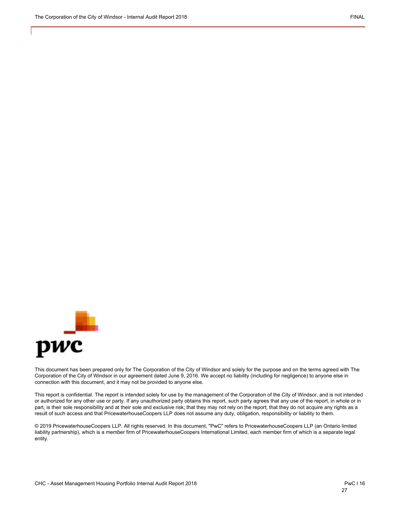

This document has been prepared only for The Corporation of the City of Windsor and solely for the purpose and on the terms agreed with The Corporation of the City of Windsor in our agreement dated June 9, 2016. We accept no liability (including for negligence) to anyone else in connection with this document, and it may not be provided to anyone else.

This report is confidential. The report is intended solely for use by the management of the Corporation of the City of Windsor, and is not intended or authorized for any other use or party. If any unauthorized party obtains this report, such party agrees that any use of the report, in whole or in part, is their sole responsibility and at their sole and exclusive risk; that they may not rely on the report; that they do not acquire any rights as a result of such access and that PricewaterhouseCoopers LLP does not assume any duty, obligation, responsibility or liability to them.

© 2019 PricewaterhouseCoopers LLP. All rights reserved. In this document, "PwC" refers to PricewaterhouseCoopers LLP (an Ontario limited liability partnership), which is a member firm of PricewaterhouseCoopers International Limited, each member firm of which is a separate legal entity.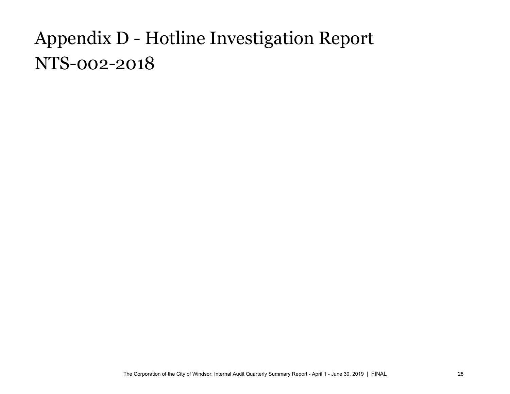# <span id="page-28-0"></span>Appendix D - Hotline Investigation Report NTS-002-2018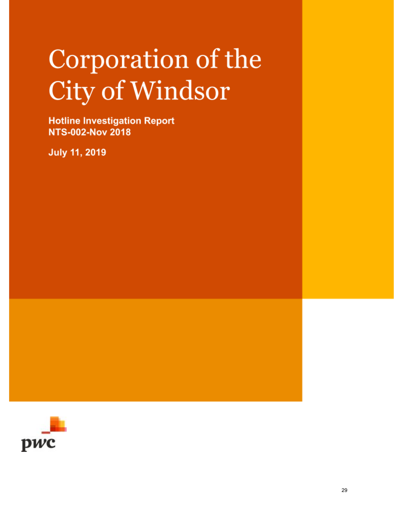# Corporation of the City of Windsor

**Hotline Investigation Report NTS-002-Nov 2018** 

**July 11, 2019** 

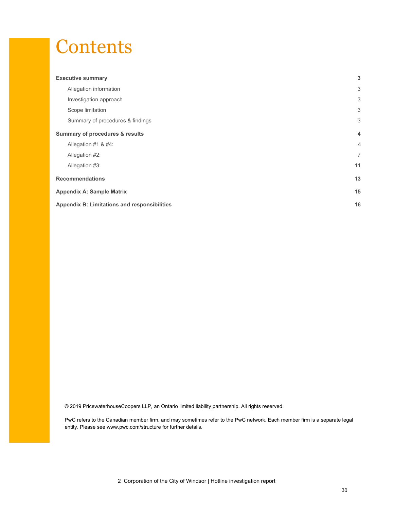## **Contents**

| <b>Executive summary</b>                            | 3              |
|-----------------------------------------------------|----------------|
| Allegation information                              | 3              |
| Investigation approach                              | 3              |
| Scope limitation                                    | 3              |
| Summary of procedures & findings                    | 3              |
| Summary of procedures & results                     | 4              |
| Allegation #1 & #4:                                 | $\overline{4}$ |
| Allegation #2:                                      | $\overline{7}$ |
| Allegation #3:                                      | 11             |
| <b>Recommendations</b>                              | 13             |
| <b>Appendix A: Sample Matrix</b>                    | 15             |
| <b>Appendix B: Limitations and responsibilities</b> | 16             |

© 2019 PricewaterhouseCoopers LLP, an Ontario limited liability partnership. All rights reserved.

PwC refers to the Canadian member firm, and may sometimes refer to the PwC network. Each member firm is a separate legal entity. Please see www.pwc.com/structure for further details.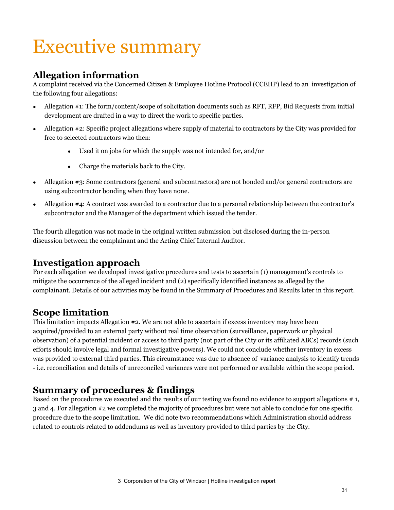# Executive summary

### **Allegation information**

A complaint received via the Concerned Citizen & Employee Hotline Protocol (CCEHP) lead to an investigation of the following four allegations:

- Allegation #1: The form/content/scope of solicitation documents such as RFT, RFP, Bid Requests from initial development are drafted in a way to direct the work to specific parties.
- Allegation #2: Specific project allegations where supply of material to contractors by the City was provided for free to selected contractors who then:
	- Used it on jobs for which the supply was not intended for, and/or
	- Charge the materials back to the City.
- Allegation #3: Some contractors (general and subcontractors) are not bonded and/or general contractors are using subcontractor bonding when they have none.
- Allegation #4: A contract was awarded to a contractor due to a personal relationship between the contractor's subcontractor and the Manager of the department which issued the tender.

The fourth allegation was not made in the original written submission but disclosed during the in-person discussion between the complainant and the Acting Chief Internal Auditor.

### **Investigation approach**

For each allegation we developed investigative procedures and tests to ascertain (1) management's controls to mitigate the occurrence of the alleged incident and (2) specifically identified instances as alleged by the complainant. Details of our activities may be found in the Summary of Procedures and Results later in this report.

### **Scope limitation**

This limitation impacts Allegation #2. We are not able to ascertain if excess inventory may have been acquired/provided to an external party without real time observation (surveillance, paperwork or physical observation) of a potential incident or access to third party (not part of the City or its affiliated ABCs) records (such efforts should involve legal and formal investigative powers). We could not conclude whether inventory in excess was provided to external third parties. This circumstance was due to absence of variance analysis to identify trends - i.e. reconciliation and details of unreconciled variances were not performed or available within the scope period.

### **Summary of procedures & findings**

Based on the procedures we executed and the results of our testing we found no evidence to support allegations # 1, 3 and 4. For allegation #2 we completed the majority of procedures but were not able to conclude for one specific procedure due to the scope limitation. We did note two recommendations which Administration should address related to controls related to addendums as well as inventory provided to third parties by the City.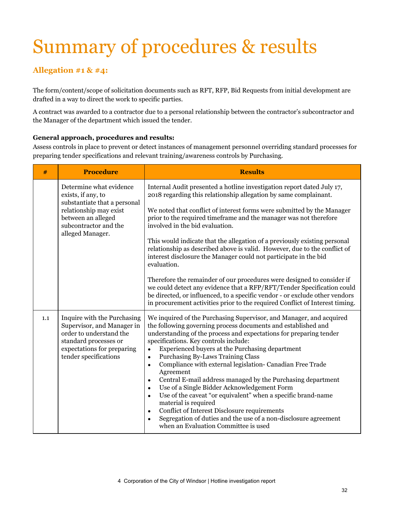# Summary of procedures & results

### **Allegation #1 & #4:**

The form/content/scope of solicitation documents such as RFT, RFP, Bid Requests from initial development are drafted in a way to direct the work to specific parties.

A contract was awarded to a contractor due to a personal relationship between the contractor's subcontractor and the Manager of the department which issued the tender.

#### **General approach, procedures and results:**

Assess controls in place to prevent or detect instances of management personnel overriding standard processes for preparing tender specifications and relevant training/awareness controls by Purchasing.

| #   | <b>Procedure</b>                                                                                                                                                           | <b>Results</b>                                                                                                                                                                                                                                                                                                                                                                                                                                                                                                                                                                                                                                                                                                                                                                                                                                                                                 |  |  |  |  |
|-----|----------------------------------------------------------------------------------------------------------------------------------------------------------------------------|------------------------------------------------------------------------------------------------------------------------------------------------------------------------------------------------------------------------------------------------------------------------------------------------------------------------------------------------------------------------------------------------------------------------------------------------------------------------------------------------------------------------------------------------------------------------------------------------------------------------------------------------------------------------------------------------------------------------------------------------------------------------------------------------------------------------------------------------------------------------------------------------|--|--|--|--|
|     | Determine what evidence<br>exists, if any, to<br>substantiate that a personal<br>relationship may exist<br>between an alleged<br>subcontractor and the<br>alleged Manager. | Internal Audit presented a hotline investigation report dated July 17,<br>2018 regarding this relationship allegation by same complainant.<br>We noted that conflict of interest forms were submitted by the Manager<br>prior to the required timeframe and the manager was not therefore<br>involved in the bid evaluation.<br>This would indicate that the allegation of a previously existing personal<br>relationship as described above is valid. However, due to the conflict of<br>interest disclosure the Manager could not participate in the bid<br>evaluation.<br>Therefore the remainder of our procedures were designed to consider if<br>we could detect any evidence that a RFP/RFT/Tender Specification could<br>be directed, or influenced, to a specific vendor - or exclude other vendors<br>in procurement activities prior to the required Conflict of Interest timing.   |  |  |  |  |
| 1.1 | Inquire with the Purchasing<br>Supervisor, and Manager in<br>order to understand the<br>standard processes or<br>expectations for preparing<br>tender specifications       | We inquired of the Purchasing Supervisor, and Manager, and acquired<br>the following governing process documents and established and<br>understanding of the process and expectations for preparing tender<br>specifications. Key controls include:<br>Experienced buyers at the Purchasing department<br>$\bullet$<br>Purchasing By-Laws Training Class<br>$\bullet$<br>Compliance with external legislation- Canadian Free Trade<br>$\bullet$<br>Agreement<br>Central E-mail address managed by the Purchasing department<br>$\bullet$<br>Use of a Single Bidder Acknowledgement Form<br>$\bullet$<br>Use of the caveat "or equivalent" when a specific brand-name<br>$\bullet$<br>material is required<br>Conflict of Interest Disclosure requirements<br>$\bullet$<br>Segregation of duties and the use of a non-disclosure agreement<br>$\bullet$<br>when an Evaluation Committee is used |  |  |  |  |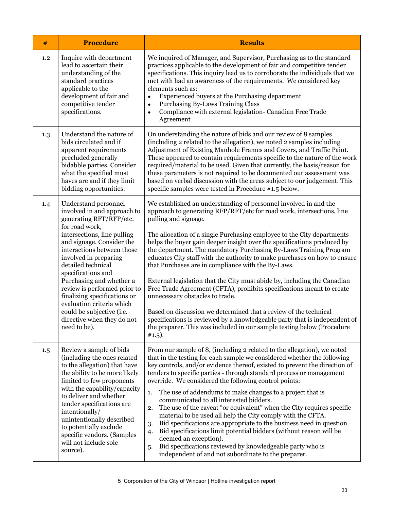| #   | <b>Procedure</b>                                                                                                                                                                                                                                                                                                                                                                                                                                                    | <b>Results</b>                                                                                                                                                                                                                                                                                                                                                                                                                                                                                                                                                                                                                                                                                                                                                                                                                                                                                                                                                  |  |  |  |  |
|-----|---------------------------------------------------------------------------------------------------------------------------------------------------------------------------------------------------------------------------------------------------------------------------------------------------------------------------------------------------------------------------------------------------------------------------------------------------------------------|-----------------------------------------------------------------------------------------------------------------------------------------------------------------------------------------------------------------------------------------------------------------------------------------------------------------------------------------------------------------------------------------------------------------------------------------------------------------------------------------------------------------------------------------------------------------------------------------------------------------------------------------------------------------------------------------------------------------------------------------------------------------------------------------------------------------------------------------------------------------------------------------------------------------------------------------------------------------|--|--|--|--|
| 1.2 | Inquire with department<br>lead to ascertain their<br>understanding of the<br>standard practices<br>applicable to the<br>development of fair and<br>competitive tender<br>specifications.                                                                                                                                                                                                                                                                           | We inquired of Manager, and Supervisor, Purchasing as to the standard<br>practices applicable to the development of fair and competitive tender<br>specifications. This inquiry lead us to corroborate the individuals that we<br>met with had an awareness of the requirements. We considered key<br>elements such as:<br>Experienced buyers at the Purchasing department<br>$\bullet$<br>Purchasing By-Laws Training Class<br>$\bullet$<br>Compliance with external legislation- Canadian Free Trade<br>$\bullet$<br>Agreement                                                                                                                                                                                                                                                                                                                                                                                                                                |  |  |  |  |
| 1.3 | Understand the nature of<br>bids circulated and if<br>apparent requirements<br>precluded generally<br>bidabble parties. Consider<br>what the specified must<br>haves are and if they limit<br>bidding opportunities.                                                                                                                                                                                                                                                | On understanding the nature of bids and our review of 8 samples<br>(including 2 related to the allegation), we noted 2 samples including<br>Adjustment of Existing Manhole Frames and Covers, and Traffic Paint.<br>These appeared to contain requirements specific to the nature of the work<br>required/material to be used. Given that currently, the basis/reason for<br>these parameters is not required to be documented our assessment was<br>based on verbal discussion with the areas subject to our judgement. This<br>specific samples were tested in Procedure #1.5 below.                                                                                                                                                                                                                                                                                                                                                                          |  |  |  |  |
| 1.4 | Understand personnel<br>involved in and approach to<br>generating RFT/RFP/etc.<br>for road work,<br>intersections, line pulling<br>and signage. Consider the<br>interactions between those<br>involved in preparing<br>detailed technical<br>specifications and<br>Purchasing and whether a<br>review is performed prior to<br>finalizing specifications or<br>evaluation criteria which<br>could be subjective (i.e.<br>directive when they do not<br>need to be). | We established an understanding of personnel involved in and the<br>approach to generating RFP/RFT/etc for road work, intersections, line<br>pulling and signage.<br>The allocation of a single Purchasing employee to the City departments<br>helps the buyer gain deeper insight over the specifications produced by<br>the department. The mandatory Purchasing By-Laws Training Program<br>educates City staff with the authority to make purchases on how to ensure<br>that Purchases are in compliance with the By-Laws.<br>External legislation that the City must abide by, including the Canadian<br>Free Trade Agreement (CFTA), prohibits specifications meant to create<br>unnecessary obstacles to trade.<br>Based on discussion we determined that a review of the technical<br>specifications is reviewed by a knowledgeable party that is independent of<br>the preparer. This was included in our sample testing below (Procedure<br>$#1.5$ ). |  |  |  |  |
| 1.5 | Review a sample of bids<br>(including the ones related<br>to the allegation) that have<br>the ability to be more likely<br>limited to few proponents<br>with the capability/capacity<br>to deliver and whether<br>tender specifications are<br>intentionally/<br>unintentionally described<br>to potentially exclude<br>specific vendors. (Samples<br>will not include sole<br>source).                                                                             | From our sample of 8, (including 2 related to the allegation), we noted<br>that in the testing for each sample we considered whether the following<br>key controls, and/or evidence thereof, existed to prevent the direction of<br>tenders to specific parties - through standard process or management<br>override. We considered the following control points:<br>The use of addendums to make changes to a project that is<br>1.<br>communicated to all interested bidders.<br>The use of the caveat "or equivalent" when the City requires specific<br>2.<br>material to be used all help the City comply with the CFTA.<br>Bid specifications are appropriate to the business need in question.<br>3.<br>Bid specifications limit potential bidders (without reason will be<br>4.<br>deemed an exception).<br>Bid specifications reviewed by knowledgeable party who is<br>5.<br>independent of and not subordinate to the preparer.                      |  |  |  |  |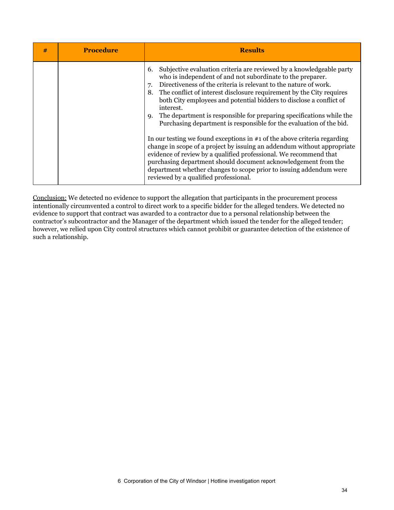| # | <b>Procedure</b> | <b>Results</b>                                                                                                                                                                                                                                                                                                                                                                                                                                                                                                                                                                                                                                                                                                                                                 |
|---|------------------|----------------------------------------------------------------------------------------------------------------------------------------------------------------------------------------------------------------------------------------------------------------------------------------------------------------------------------------------------------------------------------------------------------------------------------------------------------------------------------------------------------------------------------------------------------------------------------------------------------------------------------------------------------------------------------------------------------------------------------------------------------------|
|   |                  | Subjective evaluation criteria are reviewed by a knowledgeable party<br>6.<br>who is independent of and not subordinate to the preparer.<br>Directiveness of the criteria is relevant to the nature of work.<br>8. The conflict of interest disclosure requirement by the City requires<br>both City employees and potential bidders to disclose a conflict of<br>interest.<br>The department is responsible for preparing specifications while the<br>9.<br>Purchasing department is responsible for the evaluation of the bid.<br>In our testing we found exceptions in $#1$ of the above criteria regarding<br>change in scope of a project by issuing an addendum without appropriate<br>evidence of review by a qualified professional. We recommend that |
|   |                  | purchasing department should document acknowledgement from the<br>department whether changes to scope prior to issuing addendum were<br>reviewed by a qualified professional.                                                                                                                                                                                                                                                                                                                                                                                                                                                                                                                                                                                  |

Conclusion: We detected no evidence to support the allegation that participants in the procurement process intentionally circumvented a control to direct work to a specific bidder for the alleged tenders. We detected no evidence to support that contract was awarded to a contractor due to a personal relationship between the contractor's subcontractor and the Manager of the department which issued the tender for the alleged tender; however, we relied upon City control structures which cannot prohibit or guarantee detection of the existence of such a relationship.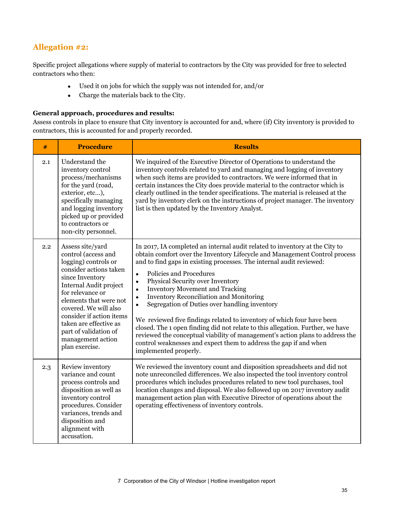### **Allegation #2:**

Specific project allegations where supply of material to contractors by the City was provided for free to selected contractors who then:

- Used it on jobs for which the supply was not intended for, and/or
- Charge the materials back to the City.

#### **General approach, procedures and results:**

Assess controls in place to ensure that City inventory is accounted for and, where (if) City inventory is provided to contractors, this is accounted for and properly recorded.

| #   | <b>Procedure</b>                                                                                                                                                                                                                                                                                                                    | <b>Results</b>                                                                                                                                                                                                                                                                                                                                                                                                                                                                                                                                                                                                                                                                                                                                                                                                                               |
|-----|-------------------------------------------------------------------------------------------------------------------------------------------------------------------------------------------------------------------------------------------------------------------------------------------------------------------------------------|----------------------------------------------------------------------------------------------------------------------------------------------------------------------------------------------------------------------------------------------------------------------------------------------------------------------------------------------------------------------------------------------------------------------------------------------------------------------------------------------------------------------------------------------------------------------------------------------------------------------------------------------------------------------------------------------------------------------------------------------------------------------------------------------------------------------------------------------|
| 2.1 | Understand the<br>inventory control<br>process/mechanisms<br>for the yard (road,<br>exterior, etc),<br>specifically managing<br>and logging inventory<br>picked up or provided<br>to contractors or<br>non-city personnel.                                                                                                          | We inquired of the Executive Director of Operations to understand the<br>inventory controls related to yard and managing and logging of inventory<br>when such items are provided to contractors. We were informed that in<br>certain instances the City does provide material to the contractor which is<br>clearly outlined in the tender specifications. The material is released at the<br>yard by inventory clerk on the instructions of project manager. The inventory<br>list is then updated by the Inventory Analyst.                                                                                                                                                                                                                                                                                                               |
| 2.2 | Assess site/yard<br>control (access and<br>logging) controls or<br>consider actions taken<br>since Inventory<br>Internal Audit project<br>for relevance or<br>elements that were not<br>covered. We will also<br>consider if action items<br>taken are effective as<br>part of validation of<br>management action<br>plan exercise. | In 2017, IA completed an internal audit related to inventory at the City to<br>obtain comfort over the Inventory Lifecycle and Management Control process<br>and to find gaps in existing processes. The internal audit reviewed:<br>Policies and Procedures<br>$\bullet$<br>Physical Security over Inventory<br>$\bullet$<br><b>Inventory Movement and Tracking</b><br>$\bullet$<br><b>Inventory Reconciliation and Monitoring</b><br>$\bullet$<br>Segregation of Duties over handling inventory<br>We reviewed five findings related to inventory of which four have been<br>closed. The 1 open finding did not relate to this allegation. Further, we have<br>reviewed the conceptual viability of management's action plans to address the<br>control weaknesses and expect them to address the gap if and when<br>implemented properly. |
| 2.3 | Review inventory<br>variance and count<br>process controls and<br>disposition as well as<br>inventory control<br>procedures. Consider<br>variances, trends and<br>disposition and<br>alignment with<br>accusation.                                                                                                                  | We reviewed the inventory count and disposition spreadsheets and did not<br>note unreconciled differences. We also inspected the tool inventory control<br>procedures which includes procedures related to new tool purchases, tool<br>location changes and disposal. We also followed up on 2017 inventory audit<br>management action plan with Executive Director of operations about the<br>operating effectiveness of inventory controls.                                                                                                                                                                                                                                                                                                                                                                                                |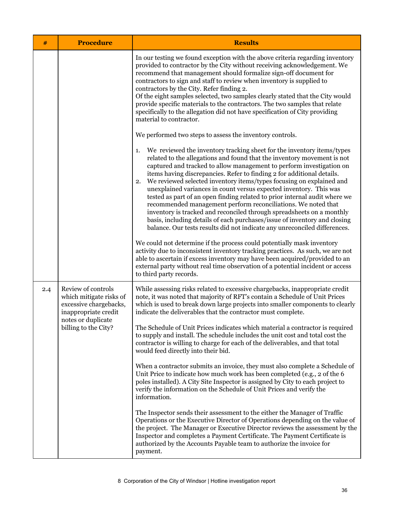| #   | <b>Procedure</b>                                                                                                                              | <b>Results</b>                                                                                                                                                                                                                                                                                                                                                                                                                                                                                                                                                                                                                                                                                                                                                                                                                                                                                                                                                                                                                                                                                                                                                               |  |  |  |  |
|-----|-----------------------------------------------------------------------------------------------------------------------------------------------|------------------------------------------------------------------------------------------------------------------------------------------------------------------------------------------------------------------------------------------------------------------------------------------------------------------------------------------------------------------------------------------------------------------------------------------------------------------------------------------------------------------------------------------------------------------------------------------------------------------------------------------------------------------------------------------------------------------------------------------------------------------------------------------------------------------------------------------------------------------------------------------------------------------------------------------------------------------------------------------------------------------------------------------------------------------------------------------------------------------------------------------------------------------------------|--|--|--|--|
|     |                                                                                                                                               | In our testing we found exception with the above criteria regarding inventory<br>provided to contractor by the City without receiving acknowledgement. We<br>recommend that management should formalize sign-off document for<br>contractors to sign and staff to review when inventory is supplied to<br>contractors by the City. Refer finding 2.<br>Of the eight samples selected, two samples clearly stated that the City would<br>provide specific materials to the contractors. The two samples that relate<br>specifically to the allegation did not have specification of City providing<br>material to contractor.                                                                                                                                                                                                                                                                                                                                                                                                                                                                                                                                                 |  |  |  |  |
|     |                                                                                                                                               | We performed two steps to assess the inventory controls.                                                                                                                                                                                                                                                                                                                                                                                                                                                                                                                                                                                                                                                                                                                                                                                                                                                                                                                                                                                                                                                                                                                     |  |  |  |  |
|     |                                                                                                                                               | We reviewed the inventory tracking sheet for the inventory items/types<br>1.<br>related to the allegations and found that the inventory movement is not<br>captured and tracked to allow management to perform investigation on<br>items having discrepancies. Refer to finding 2 for additional details.<br>We reviewed selected inventory items/types focusing on explained and<br>2.<br>unexplained variances in count versus expected inventory. This was<br>tested as part of an open finding related to prior internal audit where we<br>recommended management perform reconciliations. We noted that<br>inventory is tracked and reconciled through spreadsheets on a monthly<br>basis, including details of each purchases/issue of inventory and closing<br>balance. Our tests results did not indicate any unreconciled differences.<br>We could not determine if the process could potentially mask inventory<br>activity due to inconsistent inventory tracking practices. As such, we are not<br>able to ascertain if excess inventory may have been acquired/provided to an<br>external party without real time observation of a potential incident or access |  |  |  |  |
|     |                                                                                                                                               | to third party records.                                                                                                                                                                                                                                                                                                                                                                                                                                                                                                                                                                                                                                                                                                                                                                                                                                                                                                                                                                                                                                                                                                                                                      |  |  |  |  |
| 2.4 | Review of controls<br>which mitigate risks of<br>excessive chargebacks,<br>inappropriate credit<br>notes or duplicate<br>billing to the City? | While assessing risks related to excessive chargebacks, inappropriate credit<br>note, it was noted that majority of RFT's contain a Schedule of Unit Prices<br>which is used to break down large projects into smaller components to clearly<br>indicate the deliverables that the contractor must complete.                                                                                                                                                                                                                                                                                                                                                                                                                                                                                                                                                                                                                                                                                                                                                                                                                                                                 |  |  |  |  |
|     |                                                                                                                                               | The Schedule of Unit Prices indicates which material a contractor is required<br>to supply and install. The schedule includes the unit cost and total cost the<br>contractor is willing to charge for each of the deliverables, and that total<br>would feed directly into their bid.                                                                                                                                                                                                                                                                                                                                                                                                                                                                                                                                                                                                                                                                                                                                                                                                                                                                                        |  |  |  |  |
|     |                                                                                                                                               | When a contractor submits an invoice, they must also complete a Schedule of<br>Unit Price to indicate how much work has been completed (e.g., 2 of the 6<br>poles installed). A City Site Inspector is assigned by City to each project to<br>verify the information on the Schedule of Unit Prices and verify the<br>information.                                                                                                                                                                                                                                                                                                                                                                                                                                                                                                                                                                                                                                                                                                                                                                                                                                           |  |  |  |  |
|     |                                                                                                                                               | The Inspector sends their assessment to the either the Manager of Traffic<br>Operations or the Executive Director of Operations depending on the value of<br>the project. The Manager or Executive Director reviews the assessment by the<br>Inspector and completes a Payment Certificate. The Payment Certificate is<br>authorized by the Accounts Payable team to authorize the invoice for<br>payment.                                                                                                                                                                                                                                                                                                                                                                                                                                                                                                                                                                                                                                                                                                                                                                   |  |  |  |  |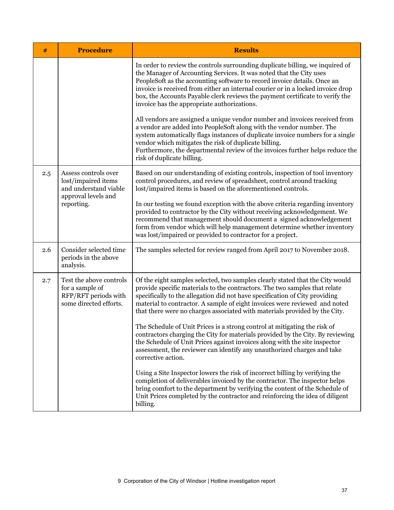| #   | <b>Procedure</b>                                                                                          | <b>Results</b>                                                                                                                                                                                                                                                                                                                                                                                                                                      |  |  |  |  |
|-----|-----------------------------------------------------------------------------------------------------------|-----------------------------------------------------------------------------------------------------------------------------------------------------------------------------------------------------------------------------------------------------------------------------------------------------------------------------------------------------------------------------------------------------------------------------------------------------|--|--|--|--|
|     |                                                                                                           | In order to review the controls surrounding duplicate billing, we inquired of<br>the Manager of Accounting Services. It was noted that the City uses<br>PeopleSoft as the accounting software to record invoice details. Once an<br>invoice is received from either an internal courier or in a locked invoice drop<br>box, the Accounts Payable clerk reviews the payment certificate to verify the<br>invoice has the appropriate authorizations. |  |  |  |  |
|     |                                                                                                           | All vendors are assigned a unique vendor number and invoices received from<br>a vendor are added into PeopleSoft along with the vendor number. The<br>system automatically flags instances of duplicate invoice numbers for a single<br>vendor which mitigates the risk of duplicate billing.<br>Furthermore, the departmental review of the invoices further helps reduce the<br>risk of duplicate billing.                                        |  |  |  |  |
| 2.5 | Assess controls over<br>lost/impaired items<br>and understand viable<br>approval levels and<br>reporting. | Based on our understanding of existing controls, inspection of tool inventory<br>control procedures, and review of spreadsheet, control around tracking<br>lost/impaired items is based on the aforementioned controls.                                                                                                                                                                                                                             |  |  |  |  |
|     |                                                                                                           | In our testing we found exception with the above criteria regarding inventory<br>provided to contractor by the City without receiving acknowledgement. We<br>recommend that management should document a signed acknowledgement<br>form from vendor which will help management determine whether inventory<br>was lost/impaired or provided to contractor for a project.                                                                            |  |  |  |  |
| 2.6 | Consider selected time<br>periods in the above<br>analysis.                                               | The samples selected for review ranged from April 2017 to November 2018.                                                                                                                                                                                                                                                                                                                                                                            |  |  |  |  |
| 2.7 | Test the above controls<br>for a sample of<br>RFP/RFT periods with<br>some directed efforts.              | Of the eight samples selected, two samples clearly stated that the City would<br>provide specific materials to the contractors. The two samples that relate<br>specifically to the allegation did not have specification of City providing<br>material to contractor. A sample of eight invoices were reviewed and noted<br>that there were no charges associated with materials provided by the City.                                              |  |  |  |  |
|     |                                                                                                           | The Schedule of Unit Prices is a strong control at mitigating the risk of<br>contractors charging the City for materials provided by the City. By reviewing<br>the Schedule of Unit Prices against invoices along with the site inspector<br>assessment, the reviewer can identify any unauthorized charges and take<br>corrective action.                                                                                                          |  |  |  |  |
|     |                                                                                                           | Using a Site Inspector lowers the risk of incorrect billing by verifying the<br>completion of deliverables invoiced by the contractor. The inspector helps<br>bring comfort to the department by verifying the content of the Schedule of<br>Unit Prices completed by the contractor and reinforcing the idea of diligent<br>billing.                                                                                                               |  |  |  |  |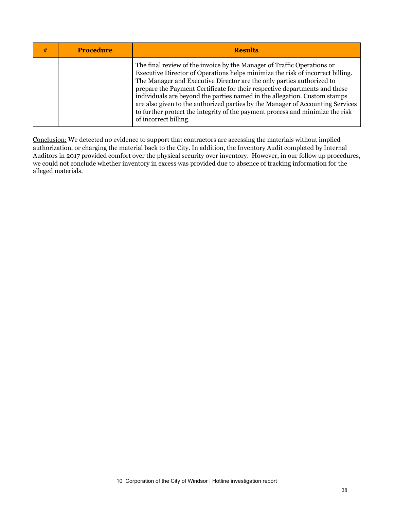| # | <b>Procedure</b> | <b>Results</b>                                                                                                                                                                                                                                                                                                                                                                                                                                                                                                                                                                            |
|---|------------------|-------------------------------------------------------------------------------------------------------------------------------------------------------------------------------------------------------------------------------------------------------------------------------------------------------------------------------------------------------------------------------------------------------------------------------------------------------------------------------------------------------------------------------------------------------------------------------------------|
|   |                  | The final review of the invoice by the Manager of Traffic Operations or<br>Executive Director of Operations helps minimize the risk of incorrect billing.<br>The Manager and Executive Director are the only parties authorized to<br>prepare the Payment Certificate for their respective departments and these<br>individuals are beyond the parties named in the allegation. Custom stamps<br>are also given to the authorized parties by the Manager of Accounting Services<br>to further protect the integrity of the payment process and minimize the risk<br>of incorrect billing. |

Conclusion: We detected no evidence to support that contractors are accessing the materials without implied authorization, or charging the material back to the City. In addition, the Inventory Audit completed by Internal Auditors in 2017 provided comfort over the physical security over inventory. However, in our follow up procedures, we could not conclude whether inventory in excess was provided due to absence of tracking information for the alleged materials.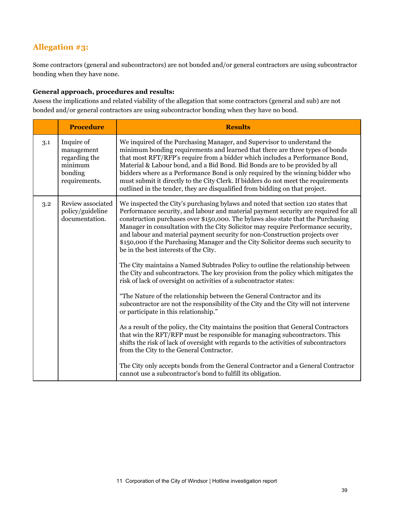### **Allegation #3:**

Some contractors (general and subcontractors) are not bonded and/or general contractors are using subcontractor bonding when they have none.

#### **General approach, procedures and results:**

Assess the implications and related viability of the allegation that some contractors (general and sub) are not bonded and/or general contractors are using subcontractor bonding when they have no bond.

|     | <b>Procedure</b>                                                                 | <b>Results</b>                                                                                                                                                                                                                                                                                                                                                                                                                                                                                                                                                                |
|-----|----------------------------------------------------------------------------------|-------------------------------------------------------------------------------------------------------------------------------------------------------------------------------------------------------------------------------------------------------------------------------------------------------------------------------------------------------------------------------------------------------------------------------------------------------------------------------------------------------------------------------------------------------------------------------|
| 3.1 | Inquire of<br>management<br>regarding the<br>minimum<br>bonding<br>requirements. | We inquired of the Purchasing Manager, and Supervisor to understand the<br>minimum bonding requirements and learned that there are three types of bonds<br>that most RFT/RFP's require from a bidder which includes a Performance Bond,<br>Material & Labour bond, and a Bid Bond. Bid Bonds are to be provided by all<br>bidders where as a Performance Bond is only required by the winning bidder who<br>must submit it directly to the City Clerk. If bidders do not meet the requirements<br>outlined in the tender, they are disqualified from bidding on that project. |
| 3.2 | Review associated<br>policy/guideline<br>documentation.                          | We inspected the City's purchasing bylaws and noted that section 120 states that<br>Performance security, and labour and material payment security are required for all<br>construction purchases over \$150,000. The bylaws also state that the Purchasing<br>Manager in consultation with the City Solicitor may require Performance security,<br>and labour and material payment security for non-Construction projects over<br>\$150,000 if the Purchasing Manager and the City Solicitor deems such security to<br>be in the best interests of the City.                 |
|     |                                                                                  | The City maintains a Named Subtrades Policy to outline the relationship between<br>the City and subcontractors. The key provision from the policy which mitigates the<br>risk of lack of oversight on activities of a subcontractor states:                                                                                                                                                                                                                                                                                                                                   |
|     |                                                                                  | "The Nature of the relationship between the General Contractor and its<br>subcontractor are not the responsibility of the City and the City will not intervene<br>or participate in this relationship."                                                                                                                                                                                                                                                                                                                                                                       |
|     |                                                                                  | As a result of the policy, the City maintains the position that General Contractors<br>that win the RFT/RFP must be responsible for managing subcontractors. This<br>shifts the risk of lack of oversight with regards to the activities of subcontractors<br>from the City to the General Contractor.                                                                                                                                                                                                                                                                        |
|     |                                                                                  | The City only accepts bonds from the General Contractor and a General Contractor<br>cannot use a subcontractor's bond to fulfill its obligation.                                                                                                                                                                                                                                                                                                                                                                                                                              |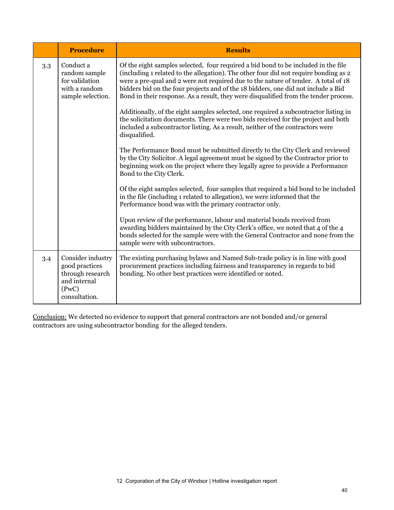|     | <b>Procedure</b>                                                                                  | <b>Results</b>                                                                                                                                                                                                                                                                                                                                                                                                                                                                                                                                                                                                                                                                                                                                                                                                                                                                                                                                                                                                      |
|-----|---------------------------------------------------------------------------------------------------|---------------------------------------------------------------------------------------------------------------------------------------------------------------------------------------------------------------------------------------------------------------------------------------------------------------------------------------------------------------------------------------------------------------------------------------------------------------------------------------------------------------------------------------------------------------------------------------------------------------------------------------------------------------------------------------------------------------------------------------------------------------------------------------------------------------------------------------------------------------------------------------------------------------------------------------------------------------------------------------------------------------------|
| 3.3 | Conduct a<br>random sample<br>for validation<br>with a random<br>sample selection.                | Of the eight samples selected, four required a bid bond to be included in the file<br>(including 1 related to the allegation). The other four did not require bonding as 2<br>were a pre-qual and 2 were not required due to the nature of tender. A total of 18<br>bidders bid on the four projects and of the 18 bidders, one did not include a Bid<br>Bond in their response. As a result, they were disqualified from the tender process.<br>Additionally, of the eight samples selected, one required a subcontractor listing in<br>the solicitation documents. There were two bids received for the project and both<br>included a subcontractor listing. As a result, neither of the contractors were<br>disqualified.<br>The Performance Bond must be submitted directly to the City Clerk and reviewed<br>by the City Solicitor. A legal agreement must be signed by the Contractor prior to<br>beginning work on the project where they legally agree to provide a Performance<br>Bond to the City Clerk. |
|     |                                                                                                   | Of the eight samples selected, four samples that required a bid bond to be included<br>in the file (including 1 related to allegation), we were informed that the<br>Performance bond was with the primary contractor only.<br>Upon review of the performance, labour and material bonds received from<br>awarding bidders maintained by the City Clerk's office, we noted that 4 of the 4<br>bonds selected for the sample were with the General Contractor and none from the<br>sample were with subcontractors.                                                                                                                                                                                                                                                                                                                                                                                                                                                                                                  |
| 3.4 | Consider industry<br>good practices<br>through research<br>and internal<br>(PwC)<br>consultation. | The existing purchasing bylaws and Named Sub-trade policy is in line with good<br>procurement practices including fairness and transparency in regards to bid<br>bonding. No other best practices were identified or noted.                                                                                                                                                                                                                                                                                                                                                                                                                                                                                                                                                                                                                                                                                                                                                                                         |

Conclusion: We detected no evidence to support that general contractors are not bonded and/or general contractors are using subcontractor bonding for the alleged tenders.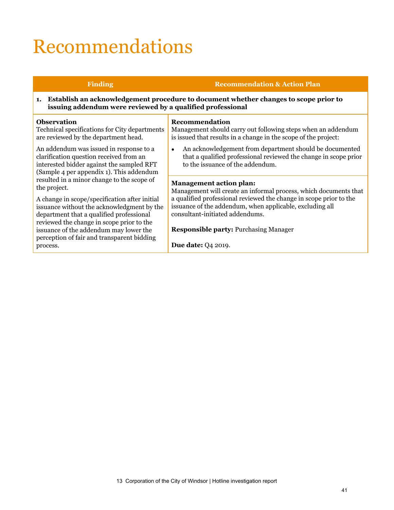# Recommendations

#### **Finding Recommendation & Action Plan 1. Establish an acknowledgement procedure to document whether changes to scope prior to issuing addendum were reviewed by a qualified professional Observation** Technical specifications for City departments are reviewed by the department head. An addendum was issued in response to a clarification question received from an interested bidder against the sampled RFT (Sample 4 per appendix 1). This addendum resulted in a minor change to the scope of the project. A change in scope/specification after initial issuance without the acknowledgment by the department that a qualified professional reviewed the change in scope prior to the issuance of the addendum may lower the perception of fair and transparent bidding process. **Recommendation** Management should carry out following steps when an addendum is issued that results in a change in the scope of the project: • An acknowledgement from department should be documented that a qualified professional reviewed the change in scope prior to the issuance of the addendum. **Management action plan:** Management will create an informal process, which documents that a qualified professional reviewed the change in scope prior to the issuance of the addendum, when applicable, excluding all consultant-initiated addendums. **Responsible party:** Purchasing Manager **Due date:** Q4 2019.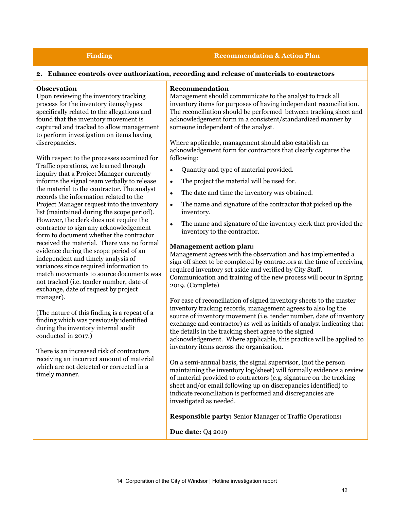#### **Finding Recommendation & Action Plan**

#### **2. Enhance controls over authorization, recording and release of materials to contractors**

#### **Observation**

Upon reviewing the inventory tracking process for the inventory items/types specifically related to the allegations and found that the inventory movement is captured and tracked to allow management to perform investigation on items having discrepancies.

With respect to the processes examined for Traffic operations, we learned through inquiry that a Project Manager currently informs the signal team verbally to release the material to the contractor. The analyst records the information related to the Project Manager request into the inventory list (maintained during the scope period). However, the clerk does not require the contractor to sign any acknowledgement form to document whether the contractor received the material. There was no formal evidence during the scope period of an independent and timely analysis of variances since required information to match movements to source documents was not tracked (i.e. tender number, date of exchange, date of request by project manager).

(The nature of this finding is a repeat of a finding which was previously identified during the inventory internal audit conducted in 2017.)

There is an increased risk of contractors receiving an incorrect amount of material which are not detected or corrected in a timely manner.

#### **Recommendation**

Management should communicate to the analyst to track all inventory items for purposes of having independent reconciliation. The reconciliation should be performed between tracking sheet and acknowledgement form in a consistent/standardized manner by someone independent of the analyst.

Where applicable, management should also establish an acknowledgement form for contractors that clearly captures the following:

- Quantity and type of material provided.
- The project the material will be used for.
- The date and time the inventory was obtained.
- The name and signature of the contractor that picked up the inventory.
- The name and signature of the inventory clerk that provided the inventory to the contractor.

#### **Management action plan:**

Management agrees with the observation and has implemented a sign off sheet to be completed by contractors at the time of receiving required inventory set aside and verified by City Staff. Communication and training of the new process will occur in Spring 2019. (Complete)

For ease of reconciliation of signed inventory sheets to the master inventory tracking records, management agrees to also log the source of inventory movement (i.e. tender number, date of inventory exchange and contractor) as well as initials of analyst indicating that the details in the tracking sheet agree to the signed acknowledgement. Where applicable, this practice will be applied to inventory items across the organization.

On a semi-annual basis, the signal supervisor, (not the person maintaining the inventory log/sheet) will formally evidence a review of material provided to contractors (e.g. signature on the tracking sheet and/or email following up on discrepancies identified) to indicate reconciliation is performed and discrepancies are investigated as needed.

**Responsible party:** Senior Manager of Traffic Operations**:**

**Due date:** Q4 2019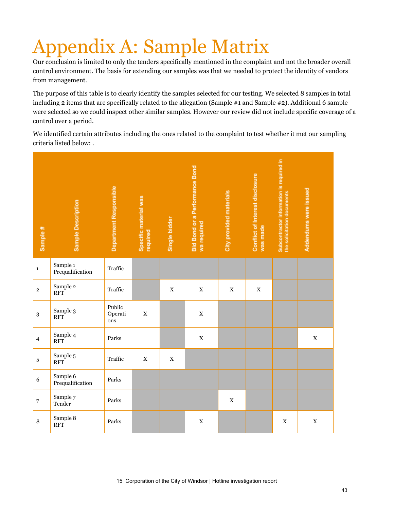# ppendix A: Sample Matrix

Our conclusion is limited to only the tenders specifically mentioned in the complaint and not the broader overall control environment. The basis for extending our samples was that we needed to protect the identity of vendors from management.

The purpose of this table is to clearly identify the samples selected for our testing. We selected 8 samples in total including 2 items that are specifically related to the allegation (Sample #1 and Sample #2). Additional 6 sample were selected so we could inspect other similar samples. However our review did not include specific coverage of a control over a period.

We identified certain attributes including the ones related to the complaint to test whether it met our sampling criteria listed below: .

| Sample #       | Sample Description           | Department Responsible   | Specific material was<br>required | Single bidder | <b>Bid Bond or a Performance Bond</b><br>wa required | City provided materials | Conflict of Interest disclosure<br>was made | Subcontractor Information is required in<br>the solicitation documents | Addendums were issued |
|----------------|------------------------------|--------------------------|-----------------------------------|---------------|------------------------------------------------------|-------------------------|---------------------------------------------|------------------------------------------------------------------------|-----------------------|
| $\mathbf 1$    | Sample 1<br>Prequalification | Traffic                  |                                   |               |                                                      |                         |                                             |                                                                        |                       |
| $\mathbf 2$    | Sample 2<br><b>RFT</b>       | Traffic                  |                                   | $\mathbf X$   | $\mathbf X$                                          | $\mathbf X$             | $\mathbf X$                                 |                                                                        |                       |
| $\sqrt{3}$     | Sample 3<br><b>RFT</b>       | Public<br>Operati<br>ons | $\mathbf X$                       |               | $\mathbf X$                                          |                         |                                             |                                                                        |                       |
| $\overline{4}$ | Sample 4<br><b>RFT</b>       | Parks                    |                                   |               | $\mathbf X$                                          |                         |                                             |                                                                        | $\mathbf X$           |
| $\bf 5$        | Sample 5<br><b>RFT</b>       | Traffic                  | $\mathbf X$                       | $\mathbf X$   |                                                      |                         |                                             |                                                                        |                       |
| 6              | Sample 6<br>Prequalification | Parks                    |                                   |               |                                                      |                         |                                             |                                                                        |                       |
| $\overline{7}$ | Sample 7<br>Tender           | Parks                    |                                   |               |                                                      | $\mathbf X$             |                                             |                                                                        |                       |
| $\, 8$         | Sample 8<br><b>RFT</b>       | Parks                    |                                   |               | $\mathbf X$                                          |                         |                                             | $\mathbf X$                                                            | $\mathbf X$           |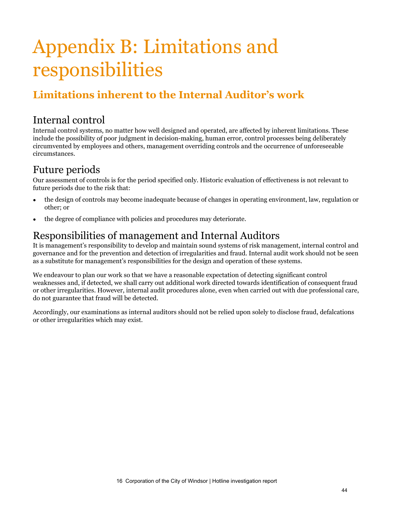# Appendix B: Limitations and responsibilities

## **Limitations inherent to the Internal Auditor's work**

## Internal control

Internal control systems, no matter how well designed and operated, are affected by inherent limitations. These include the possibility of poor judgment in decision-making, human error, control processes being deliberately circumvented by employees and others, management overriding controls and the occurrence of unforeseeable circumstances.

## Future periods

Our assessment of controls is for the period specified only. Historic evaluation of effectiveness is not relevant to future periods due to the risk that:

- the design of controls may become inadequate because of changes in operating environment, law, regulation or other; or
- the degree of compliance with policies and procedures may deteriorate.

## Responsibilities of management and Internal Auditors

It is management's responsibility to develop and maintain sound systems of risk management, internal control and governance and for the prevention and detection of irregularities and fraud. Internal audit work should not be seen as a substitute for management's responsibilities for the design and operation of these systems.

We endeavour to plan our work so that we have a reasonable expectation of detecting significant control weaknesses and, if detected, we shall carry out additional work directed towards identification of consequent fraud or other irregularities. However, internal audit procedures alone, even when carried out with due professional care, do not guarantee that fraud will be detected.

Accordingly, our examinations as internal auditors should not be relied upon solely to disclose fraud, defalcations or other irregularities which may exist.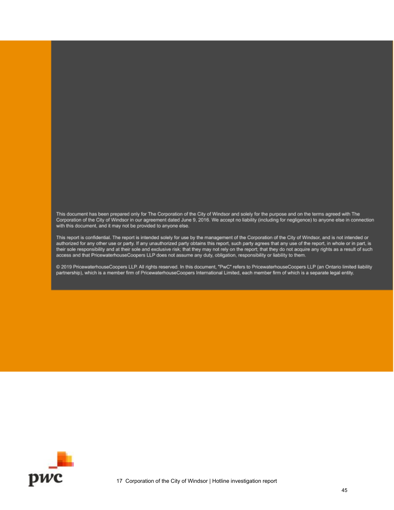This document has been prepared only for The Corporation of the City of Windsor and solely for the purpose and on the terms agreed with The<br>Corporation of the City of Windsor in our agreement dated June 9, 2016. We accept with this document, and it may not be provided to anyone else.

This report is confidential. The report is intended solely for use by the management of the Corporation of the City of Windsor, and is not intended or authorized for any other use or party. If any unauthorized party obtains this report, such party agrees that any use of the report, in whole or in part, is their sole responsibility and at their sole and exclusive risk; that they may not rely on the report; that they do not acquire any rights as a result of such access and that PricewaterhouseCoopers LLP does not assume any duty, obligation, responsibility or liability to them.

@ 2019 PricewaterhouseCoopers LLP. All rights reserved. In this document, "PwC" refers to PricewaterhouseCoopers LLP (an Ontario limited liability partnership), which is a member firm of PricewaterhouseCoopers International Limited, each member firm of which is a separate legal entity.